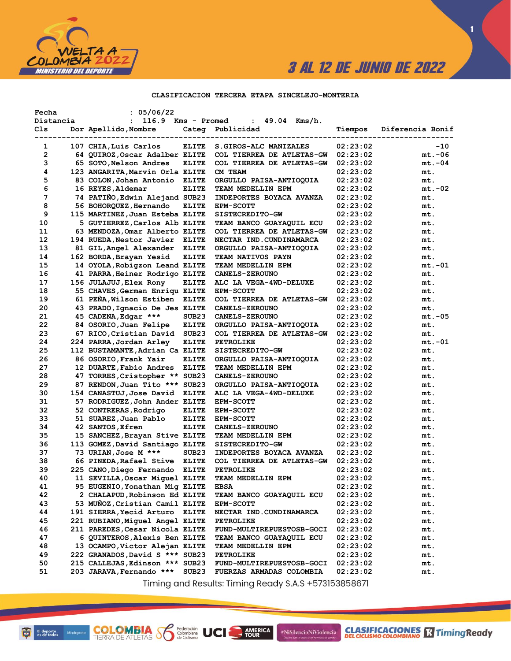

 $\blacksquare$ 

### CLASIFICACION TERCERA ETAPA SINCELEJO-MONTERIA

| Fecha          | : 05/06/22                                                       |                   |                                       |                      |                  |
|----------------|------------------------------------------------------------------|-------------------|---------------------------------------|----------------------|------------------|
| Distancia      | 116.9<br>$\ddot{\phantom{a}}$                                    | Kms - Promed      | $49.04$ Kms/h.<br>$\mathbf{L}$        |                      |                  |
| Cls            | Dor Apellido, Nombre                                             | Categ             | Publicidad                            | Tiempos              | Diferencia Bonif |
| 1              | 107 CHIA, Luis Carlos                                            | <b>ELITE</b>      | S.GIROS-ALC MANIZALES                 | 02:23:02             | -10              |
| $\overline{2}$ | 64 QUIROZ, Oscar Adalber ELITE                                   |                   | COL TIERREA DE ATLETAS-GW             | 02:23:02             | $mt.-06$         |
| з              | 65 SOTO, Nelson Andres                                           | ELITE             | COL TIERREA DE ATLETAS-GW             | 02:23:02             | $mt.-04$         |
| 4              | 123 ANGARITA, Marvin Orla ELITE                                  |                   | CM TEAM                               | 02:23:02             | mt.              |
| 5              | 83 COLON, Johan Antonio ELITE                                    |                   | ORGULLO PAISA-ANTIOQUIA               | 02:23:02             | mt.              |
| 6              | 16 REYES, Aldemar                                                | <b>ELITE</b>      | TEAM MEDELLIN EPM                     | 02:23:02             | $mt.-02$         |
| 7              | 74 PATIÑO, Edwin Alejand SUB23                                   |                   | INDEPORTES BOYACA AVANZA              | 02:23:02             | mt.              |
| 8              | 56 BOHORQUEZ, Hernando                                           | ELITE             | <b>EPM-SCOTT</b>                      | 02:23:02             | mt.              |
| 9              | 115 MARTINEZ, Juan Esteba ELITE                                  |                   | SISTECREDITO-GW                       | 02:23:02             | mt.              |
| 10             | 5 GUTIERREZ, Carlos Alb ELITE                                    |                   | TEAM BANCO GUAYAQUIL ECU              | 02:23:02             | mt.              |
| 11             | 63 MENDOZA, Omar Alberto ELITE                                   |                   | COL TIERREA DE ATLETAS-GW             | 02:23:02             | mt.              |
| 12             | 194 RUEDA, Nestor Javier                                         | <b>ELITE</b>      | NECTAR IND. CUNDINAMARCA              | 02:23:02             | mt.              |
| 13             | 81 GIL, Angel Alexander                                          | <b>ELITE</b>      | ORGULLO PAISA-ANTIOQUIA               | 02:23:02             | mt.              |
| 14             | 162 BORDA, Brayan Yesid                                          | <b>ELITE</b>      | <b>TEAM NATIVOS PAYN</b>              | 02:23:02             | mt.              |
| 15             | 14 OYOLA, Robigzon Leand ELITE                                   |                   | TEAM MEDELLIN EPM                     | 02:23:02             | mt.-01           |
| 16             | 41 PARRA, Heiner Rodrigo ELITE                                   |                   | <b>CANELS-ZEROUNO</b>                 | 02:23:02             | mt.              |
| 17             | 156 JULAJUJ, Elex Rony                                           | <b>ELITE</b>      | ALC LA VEGA-4WD-DELUXE                | 02:23:02             | mt.              |
| 18             | 55 CHAVES, German Enriqu ELITE                                   |                   | <b>EPM-SCOTT</b>                      | 02:23:02             | mt.              |
| 19             | 61 PEÑA, Wilson Estiben                                          | <b>ELITE</b>      | COL TIERREA DE ATLETAS-GW             | 02:23:02             | mt.              |
| 20             | 43 PRADO, Ignacio De Jes ELITE                                   |                   | <b>CANELS-ZEROUNO</b>                 | 02:23:02             | mt.              |
| 21             | 45 CADENA, Edgar ***                                             | SUB <sub>23</sub> | <b>CANELS-ZEROUNO</b>                 | 02:23:02             | $mt.-05$         |
| 22             | 84 OSORIO, Juan Felipe                                           | <b>ELITE</b>      | ORGULLO PAISA-ANTIOQUIA               | 02:23:02             | mt.              |
| 23             | 67 RICO,Cristian David                                           | SUB <sub>23</sub> | COL TIERREA DE ATLETAS-GW             | 02:23:02             | mt.              |
| 24             | 224 PARRA, Jordan Arley                                          | <b>ELITE</b>      | <b>PETROLIKE</b>                      | 02:23:02             | $mt.-01$         |
| 25             | 112 BUSTAMANTE, Adrian Ca ELITE                                  |                   | <b>SISTECREDITO-GW</b>                | 02:23:02             | mt.              |
| 26             | 86 OSORIO, Frank Yair                                            | <b>ELITE</b>      | ORGULLO PAISA-ANTIOQUIA               | 02:23:02             | mt.              |
| 27             | 12 DUARTE, Fabio Andres                                          | <b>ELITE</b>      | TEAM MEDELLIN EPM                     | 02:23:02             | mt.              |
| 28             | 47 TORRES, Cristopher ** SUB23                                   |                   | <b>CANELS-ZEROUNO</b>                 | 02:23:02             | mt.              |
| 29             | 87 RENDON, Juan Tito *** SUB23                                   |                   | ORGULLO PAISA-ANTIOQUIA               | 02:23:02             | mt.              |
| 30             | 154 CANASTUJ, Jose David                                         | <b>ELITE</b>      | ALC LA VEGA-4WD-DELUXE                | 02:23:02             | mt.              |
| 31             | 57 RODRIGUEZ, John Ander ELITE                                   |                   | <b>EPM-SCOTT</b>                      | 02:23:02             | mt.              |
| 32             | 52 CONTRERAS, Rodrigo                                            | <b>ELITE</b>      | <b>EPM-SCOTT</b>                      | 02:23:02             | mt.              |
| 33             | 51 SUAREZ,Juan Pablo                                             | <b>ELITE</b>      | <b>EPM-SCOTT</b>                      | 02:23:02             | mt.              |
| 34             | 42 SANTOS, Efren                                                 | <b>ELITE</b>      | <b>CANELS-ZEROUNO</b>                 | 02:23:02             | mt.              |
| 35             | 15 SANCHEZ, Brayan Stive ELITE                                   |                   | TEAM MEDELLIN EPM                     | 02:23:02             | mt.              |
| 36             | 113 GOMEZ, David Santiago ELITE                                  |                   | SISTECREDITO-GW                       | 02:23:02             | mt.              |
| 37             | 73 URIAN, Jose M ***                                             | SUB <sub>23</sub> | INDEPORTES BOYACA AVANZA              | 02:23:02             | mt.              |
| 38             | 66 PINEDA, Rafael Stive                                          | <b>ELITE</b>      | COL TIERREA DE ATLETAS-GW             | 02:23:02             | mt.              |
| 39<br>40       | 225 CANO, Diego Fernando                                         | <b>ELITE</b>      | <b>PETROLIKE</b><br>TEAM MEDELLIN EPM | 02:23:02             | mt.              |
| 41             | 11 SEVILLA, Oscar Miquel ELITE<br>95 EUGENIO, Yonathan Mig ELITE |                   | <b>EBSA</b>                           | 02:23:02<br>02:23:02 | mt.              |
| 42             | 2 CHALAPUD, Robinson Ed ELITE                                    |                   | TEAM BANCO GUAYAQUIL ECU              | 02:23:02             | mt.<br>mt.       |
| 43             | 53 MUÑOZ, Cristian Camil ELITE                                   |                   | <b>EPM-SCOTT</b>                      | 02:23:02             | mt.              |
| 44             | 191 SIERRA, Yecid Arturo ELITE                                   |                   | NECTAR IND.CUNDINAMARCA               | 02:23:02             |                  |
| 45             | 221 RUBIANO, Miguel Angel ELITE                                  |                   | <b>PETROLIKE</b>                      | 02:23:02             | mt.<br>mt.       |
| 46             | 211 PAREDES, Cesar Nicola ELITE                                  |                   | FUND-MULTIREPUESTOSB-GOCI             | 02:23:02             | mt.              |
| 47             | 6 QUINTEROS, Alexis Ben ELITE                                    |                   | TEAM BANCO GUAYAQUIL ECU              | 02:23:02             | mt.              |
| 48             | 13 OCAMPO, Victor Alejan ELITE                                   |                   | TEAM MEDELLIN EPM                     | 02:23:02             | mt.              |
| 49             | 222 GRANADOS, David S *** SUB23                                  |                   | <b>PETROLIKE</b>                      | 02:23:02             | mt.              |
| 50             | 215 CALLEJAS, Edinson *** SUB23                                  |                   | <b>FUND-MULTIREPUESTOSB-GOCI</b>      | 02:23:02             | mt.              |
| 51             | 203 JARAVA, Fernando ***                                         | SUB23             | FUERZAS ARMADAS COLOMBIA              | 02:23:02             | mt.              |
|                |                                                                  |                   |                                       |                      |                  |

Timing and Results: Timing Ready S.A.S +573153858671

AMERICA

#NiSilencioNiViolencia

**COLOMBIA SP** 

Federación<br>Colombiana<br>de Ciclismo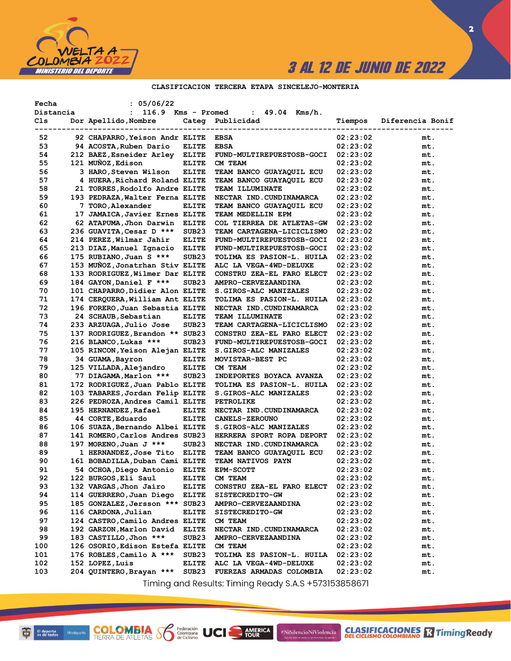

 $\overline{\mathbf{2}}$ 

### CLASIFICACION TERCERA ETAPA SINCELEJO-MONTERIA

| Fecha<br>Distancia | : 05/06/22<br>116.9 Kms - Promed<br>$\ddot{\phantom{a}}$ |                   | : 49.04<br>Kms/h.               |          |                  |
|--------------------|----------------------------------------------------------|-------------------|---------------------------------|----------|------------------|
| Cls                | Dor Apellido, Nombre                                     | Categ             | Publicidad                      | Tiempos  | Diferencia Bonif |
|                    |                                                          | ----------------- |                                 |          |                  |
| 52                 | 92 CHAPARRO, Yeison Andr ELITE                           |                   | <b>EBSA</b>                     | 02:23:02 | mt.              |
| 53                 | 94 ACOSTA, Ruben Dario                                   | ELITE             | <b>EBSA</b>                     | 02:23:02 | mt.              |
| 54                 | 212 BAEZ, Esneider Arley                                 | ELITE             | FUND-MULTIREPUESTOSB-GOCI       | 02:23:02 | mt.              |
| 55                 | 121 MUÑOZ, Edison                                        | <b>ELITE</b>      | CM TEAM                         | 02:23:02 | mt.              |
| 56                 | 3 HARO, Steven Wilson                                    | <b>ELITE</b>      | TEAM BANCO GUAYAQUIL ECU        | 02:23:02 | mt.              |
| 57                 | 4 HUERA, Richard Roland ELITE                            |                   | TEAM BANCO GUAYAQUIL ECU        | 02:23:02 | mt.              |
| 58                 | 21 TORRES, Rodolfo Andre ELITE                           |                   | TEAM ILLUMINATE                 | 02:23:02 | mt.              |
| 59                 | 193 PEDRAZA, Walter Ferna ELITE                          |                   | NECTAR IND. CUNDINAMARCA        | 02:23:02 | mt.              |
| 60                 | 7 TORO, Alexander                                        | ELITE             | TEAM BANCO GUAYAQUIL ECU        | 02:23:02 | mt.              |
| 61                 | 17 JAMAICA, Javier Ernes ELITE                           |                   | TEAM MEDELLIN EPM               | 02:23:02 | mt.              |
| 62                 | 62 ATAPUMA, Jhon Darwin                                  | ELITE             | COL TIERREA DE ATLETAS-GW       | 02:23:02 | mt.              |
| 63                 | 236 GUAVITA, Cesar D ***                                 | SUB <sub>23</sub> | TEAM CARTAGENA-LICICLISMO       | 02:23:02 | mt.              |
| 64                 | 214 PEREZ, Wilmar Jahir                                  | <b>ELITE</b>      | FUND-MULTIREPUESTOSB-GOCI       | 02:23:02 | mt.              |
| 65                 | 213 DIAZ, Manuel Ignacio                                 | ELITE             | FUND-MULTIREPUESTOSB-GOCI       | 02:23:02 | mt.              |
| 66                 | 175 RUBIANO, Juan S ***                                  | SUB <sub>23</sub> | TOLIMA ES PASION-L. HUILA       | 02:23:02 | mt.              |
| 67                 | 153 MUÑOZ, Jonatrhan Stiv ELITE                          |                   | ALC LA VEGA-4WD-DELUXE          | 02:23:02 | mt.              |
| 68                 | 133 RODRIGUEZ, Wilmer Dar ELITE                          |                   | CONSTRU ZEA-EL FARO ELECT       | 02:23:02 | mt.              |
| 69                 | 184 GAYON, Daniel F ***                                  | SUB <sub>23</sub> | AMPRO-CERVEZAANDINA             | 02:23:02 | mt.              |
| 70                 | 101 CHAPARRO, Didier Alon ELITE                          |                   | S.GIROS-ALC MANIZALES           | 02:23:02 | mt.              |
| 71                 | 174 CERQUERA, William Ant ELITE                          |                   | TOLIMA ES PASION-L. HUILA       | 02:23:02 | mt.              |
| 72                 | 196 FORERO, Juan Sebastia ELITE                          |                   | NECTAR IND. CUNDINAMARCA        | 02:23:02 | mt.              |
| 73                 | 24 SCHAUB, Sebastian                                     | <b>ELITE</b>      | TEAM ILLUMINATE                 | 02:23:02 | mt.              |
| 74                 | 233 ARZUAGA, Julio Jose                                  | SUB <sub>23</sub> | TEAM CARTAGENA-LICICLISMO       | 02:23:02 | mt.              |
| 75                 | 137 RODRIGUEZ, Brandon ** SUB23                          |                   | CONSTRU ZEA-EL FARO ELECT       | 02:23:02 | mt.              |
| 76                 | 216 BLANCO, Lukas ***                                    | SUB <sub>23</sub> | FUND-MULTIREPUESTOSB-GOCI       | 02:23:02 | mt.              |
| 77                 | 105 RINCON, Yeison Alejan ELITE                          |                   | S.GIROS-ALC MANIZALES           | 02:23:02 | mt.              |
| 78                 | 34 GUAMA, Bayron                                         | <b>ELITE</b>      | MOVISTAR-BEST PC                | 02:23:02 | mt.              |
| 79                 | 125 VILLADA, Alejandro                                   | <b>ELITE</b>      | CM TEAM                         | 02:23:02 | mt.              |
| 80                 | 77 DIAGAMA, Marlon ***                                   | SUB <sub>23</sub> | INDEPORTES BOYACA AVANZA        | 02:23:02 | mt.              |
| 81                 | 172 RODRIGUEZ, Juan Pablo ELITE                          |                   | TOLIMA ES PASION-L. HUILA       | 02:23:02 | mt.              |
| 82                 | 103 TABARES, Jordan Felip ELITE                          |                   | S.GIROS-ALC MANIZALES           | 02:23:02 | mt.              |
| 83                 | 226 PEDROZA, Andres Camil ELITE                          |                   | PETROLIKE                       | 02:23:02 | mt.              |
| 84                 | 195 HERNANDEZ, Rafael                                    | <b>ELITE</b>      | NECTAR IND.CUNDINAMARCA         | 02:23:02 | mt.              |
| 85                 | 44 CORTE, Eduardo                                        | <b>ELITE</b>      | <b>CANELS-ZEROUNO</b>           | 02:23:02 | mt.              |
| 86                 | 106 SUAZA, Bernando Albei ELITE                          |                   | S.GIROS-ALC MANIZALES           | 02:23:02 | mt.              |
| 87                 | 141 ROMERO, Carlos Andres SUB23                          |                   | HERRERA SPORT ROPA DEPORT       | 02:23:02 | mt.              |
| 88                 | 197 MORENO, Juan J ***                                   | SUB <sub>23</sub> | NECTAR IND. CUNDINAMARCA        | 02:23:02 | mt.              |
| 89                 | 1 HERNANDEZ,Jose Tito                                    | <b>ELITE</b>      | TEAM BANCO GUAYAQUIL ECU        | 02:23:02 | mt.              |
| 90                 | 161 BOBADILLA, Duban Cami ELITE                          |                   | <b>TEAM NATIVOS PAYN</b>        | 02:23:02 | mt.              |
| 91                 | 54 OCHOA, Diego Antonio                                  | <b>ELITE</b>      | <b>EPM-SCOTT</b>                | 02:23:02 | mt.              |
| 92                 | 122 BURGOS, Eli Saul                                     | <b>ELITE</b>      | CM TEAM                         | 02:23:02 | mt.              |
| 93                 | 132 VARGAS, Jhon Jairo                                   | <b>ELITE</b>      | CONSTRU ZEA-EL FARO ELECT       | 02:23:02 | mt.              |
| 94                 | 114 GUERRERO, Juan Diego                                 | <b>ELITE</b>      | SISTECREDITO-GW                 | 02:23:02 | mt.              |
| 95                 | 185 GONZALEZ, Jersson *** SUB23                          |                   | AMPRO-CERVEZAANDINA             | 02:23:02 | mt.              |
| 96                 | 116 CARDONA, Julian                                      | <b>ELITE</b>      | SISTECREDITO-GW                 | 02:23:02 | mt.              |
| 97                 | 124 CASTRO, Camilo Andres ELITE                          |                   | CM TEAM                         | 02:23:02 | mt.              |
| 98                 | 192 GARZON, Marlon David                                 | <b>ELITE</b>      | NECTAR IND. CUNDINAMARCA        | 02:23:02 | mt.              |
| 99                 | 183 CASTILLO, Jhon ***                                   | SUB23             | AMPRO-CERVEZAANDINA             | 02:23:02 | mt.              |
| 100                | 126 OSORIO, Edison Estefa ELITE                          |                   | CM TEAM                         | 02:23:02 | mt.              |
| 101                | 176 ROBLES, Camilo A ***                                 | SUB23             | TOLIMA ES PASION-L. HUILA       | 02:23:02 | mt.              |
| 102                | 152 LOPEZ, Luis                                          | <b>ELITE</b>      | ALC LA VEGA-4WD-DELUXE          | 02:23:02 | mt.              |
| 103                | 204 QUINTERO, Brayan ***                                 | SUB <sub>23</sub> | <b>FUERZAS ARMADAS COLOMBIA</b> | 02:23:02 | mt.              |

Timing and Results: Timing Ready S.A.S +573153858671

AMERICA

#NiSilencioNiViolencia

**COLOMBIA SE** 

Federación<br>Colombiana<br>de Ciclismo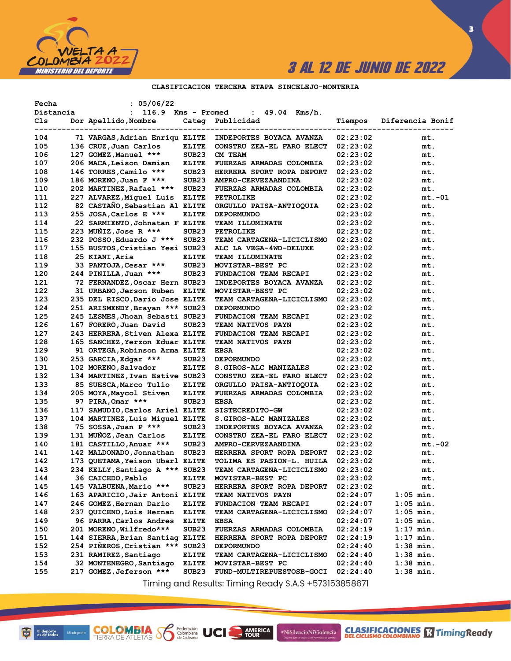

 $\overline{\mathbf{3}}$ 

### CLASIFICACION TERCERA ETAPA SINCELEJO-MONTERIA

| Fecha<br>Distancia | : 05/06/22<br>116.9<br>$\mathbf{L}$ | Kms - Promed      | 49.04<br>Kms/h.<br>$\mathbf{L}$                |          |                   |
|--------------------|-------------------------------------|-------------------|------------------------------------------------|----------|-------------------|
| Cls                | Dor Apellido, Nombre                |                   | Categ Publicidad                               | Tiempos  | Diferencia Bonif  |
| 104                | 71 VARGAS, Adrian Enriqu ELITE      |                   | ------------------<br>INDEPORTES BOYACA AVANZA | 02:23:02 | ----------<br>mt. |
| 105                | 136 CRUZ, Juan Carlos               | ELITE             | CONSTRU ZEA-EL FARO ELECT                      | 02:23:02 | mt.               |
| 106                | 127 GOMEZ, Manuel ***               | SUB23             | CM TEAM                                        | 02:23:02 | mt.               |
| 107                | 206 MACA, Leison Damian             | <b>ELITE</b>      | FUERZAS ARMADAS COLOMBIA                       | 02:23:02 | mt.               |
| 108                | 146 TORRES, Camilo ***              | SUB <sub>23</sub> | HERRERA SPORT ROPA DEPORT                      | 02:23:02 | mt.               |
| 109                | 186 MORENO, Juan F ***              | SUB <sub>23</sub> | AMPRO-CERVEZAANDINA                            | 02:23:02 | mt.               |
| 110                | 202 MARTINEZ, Rafael ***            | SUB <sub>23</sub> | FUERZAS ARMADAS COLOMBIA                       | 02:23:02 | mt.               |
| 111                | 227 ALVAREZ, Miquel Luis            | <b>ELITE</b>      | <b>PETROLIKE</b>                               | 02:23:02 | $mt.-01$          |
| 112                | 82 CASTAÑO, Sebastian Al ELITE      |                   | ORGULLO PAISA-ANTIOQUIA                        | 02:23:02 | mt.               |
| 113                | 255 JOSA, Carlos E ***              | <b>ELITE</b>      | <b>DEPORMUNDO</b>                              | 02:23:02 | mt.               |
| 114                | 22 SARMIENTO, Johnatan F ELITE      |                   | TEAM ILLUMINATE                                | 02:23:02 | mt.               |
| 115                | 223 MUNIZ, Jose R ***               | SUB <sub>23</sub> | <b>PETROLIKE</b>                               | 02:23:02 | mt.               |
| 116                | 232 POSSO, Eduardo J ***            | SUB <sub>23</sub> | TEAM CARTAGENA-LICICLISMO                      | 02:23:02 | mt.               |
| 117                | 155 BUSTOS, Cristian Yesi SUB23     |                   | ALC LA VEGA-4WD-DELUXE                         | 02:23:02 | mt.               |
| 118                | 25 KIANI, Aria                      | ELITE             | TEAM ILLUMINATE                                | 02:23:02 | mt.               |
| 119                | 33 PANTOJA, Cesar ***               | SUB <sub>23</sub> | MOVISTAR-BEST PC                               | 02:23:02 | mt.               |
| 120                | 244 PINILLA, Juan ***               | SUB <sub>23</sub> | FUNDACION TEAM RECAPI                          | 02:23:02 | mt.               |
| 121                | 72 FERNANDEZ, Oscar Hern SUB23      |                   | INDEPORTES BOYACA AVANZA                       | 02:23:02 | mt.               |
| 122                | 31 URBANO, Jerson Ruben             | <b>ELITE</b>      | MOVISTAR-BEST PC                               | 02:23:02 | mt.               |
| 123                | 235 DEL RISCO, Dario Jose ELITE     |                   | TEAM CARTAGENA-LICICLISMO                      | 02:23:02 | mt.               |
| 124                | 251 ARISMENDY, Brayan *** SUB23     |                   | <b>DEPORMUNDO</b>                              | 02:23:02 | mt.               |
| 125                | 245 LESMES, Jhoan Sebasti SUB23     |                   | FUNDACION TEAM RECAPI                          | 02:23:02 | mt.               |
| 126                | 167 FORERO, Juan David              | SUB <sub>23</sub> | TEAM NATIVOS PAYN                              | 02:23:02 | mt.               |
| 127                | 243 HERRERA, Stiven Alexa ELITE     |                   | FUNDACION TEAM RECAPI                          | 02:23:02 | mt.               |
| 128                | 165 SANCHEZ, Yerzon Eduar ELITE     |                   | TEAM NATIVOS PAYN                              | 02:23:02 | mt.               |
| 129                | 91 ORTEGA, Robinson Arma ELITE      |                   | <b>EBSA</b>                                    | 02:23:02 | mt.               |
| 130                | 253 GARCIA, Edgar ***               | SUB <sub>23</sub> | <b>DEPORMUNDO</b>                              | 02:23:02 | mt.               |
| 131                | 102 MORENO, Salvador                | ELITE             | S.GIROS-ALC MANIZALES                          | 02:23:02 | mt.               |
| 132                | 134 MARTINEZ, Ivan Estive SUB23     |                   | CONSTRU ZEA-EL FARO ELECT                      | 02:23:02 | mt.               |
| 133                | 85 SUESCA, Marco Tulio              | ELITE             | ORGULLO PAISA-ANTIOQUIA                        | 02:23:02 | mt.               |
| 134                | 205 MOYA, Maycol Stiven             | <b>ELITE</b>      | FUERZAS ARMADAS COLOMBIA                       | 02:23:02 | mt.               |
| 135                | 97 PIRA, Omar ***                   | SUB <sub>23</sub> | <b>EBSA</b>                                    | 02:23:02 | mt.               |
| 136                | 117 SAMUDIO, Carlos Ariel ELITE     |                   | SISTECREDITO-GW                                | 02:23:02 | mt.               |
| 137                | 104 MARTINEZ, Luis Miquel ELITE     |                   | S.GIROS-ALC MANIZALES                          | 02:23:02 | mt.               |
| 138                | 75 SOSSA, Juan P ***                | SUB <sub>23</sub> | INDEPORTES BOYACA AVANZA                       | 02:23:02 | mt.               |
| 139                | 131 MUÑOZ, Jean Carlos              | ELITE             | CONSTRU ZEA-EL FARO ELECT                      | 02:23:02 | mt.               |
| 140                | 181 CASTILLO, Anuar ***             | SUB <sub>23</sub> | <b>AMPRO-CERVEZAANDINA</b>                     | 02:23:02 | mt.-02            |
| 141                | 142 MALDONADO, Jonnathan            | SUB <sub>23</sub> | HERRERA SPORT ROPA DEPORT                      | 02:23:02 | mt.               |
| 142                | 173 QUETAMA, Yeison Ubarl ELITE     |                   | TOLIMA ES PASION-L. HUILA                      | 02:23:02 | mt.               |
| 143                | 234 KELLY, Santiago A *** SUB23     |                   | TEAM CARTAGENA-LICICLISMO                      | 02:23:02 | mt.               |
| 144                | 36 CAICEDO, Pablo                   | <b>ELITE</b>      | MOVISTAR-BEST PC                               | 02:23:02 | mt.               |
| 145                | 145 VALBUENA, Mario ***             | SUB23             | HERRERA SPORT ROPA DEPORT                      | 02:23:02 | mt.               |
| 146                | 163 APARICIO, Jair Antoni ELITE     |                   | TEAM NATIVOS PAYN                              | 02:24:07 | $1:05$ min.       |
| 147                | 246 GOMEZ, Hernan Dario             | <b>ELITE</b>      | FUNDACION TEAM RECAPI                          | 02:24:07 | $1:05$ min.       |
| 148                | 237 QUICENO, Luis Hernan            | <b>ELITE</b>      | TEAM CARTAGENA-LICICLISMO                      | 02:24:07 | $1:05$ min.       |
| 149                | 96 PARRA, Carlos Andres             | <b>ELITE</b>      | <b>EBSA</b>                                    | 02:24:07 | $1:05$ min.       |
| 150                | 201 MORENO, Wilfredo***             | SUB <sub>23</sub> | FUERZAS ARMADAS COLOMBIA                       | 02:24:19 | $1:17$ min.       |
| 151                | 144 SIERRA, Brian Santiag ELITE     |                   | HERRERA SPORT ROPA DEPORT                      | 02:24:19 | $1:17$ min.       |
| 152                | 254 PIÑEROS, Cristian ***           | SUB <sub>23</sub> | <b>DEPORMUNDO</b>                              | 02:24:40 | $1:38$ min.       |
| 153                | 231 RAMIREZ, Santiago               | <b>ELITE</b>      | TEAM CARTAGENA-LICICLISMO                      | 02:24:40 | $1:38$ min.       |
| 154                | 32 MONTENEGRO, Santiago             | <b>ELITE</b>      | MOVISTAR-BEST PC                               | 02:24:40 | $1:38$ min.       |
| 155                | 217 GOMEZ, Jeferson ***             | SUB <sub>23</sub> | FUND-MULTIREPUESTOSB-GOCI                      | 02:24:40 | $1:38$ min.       |

Timing and Results: Timing Ready S.A.S +573153858671

AMERICA

#NiSilencioNiViolencia

**COLOMBIA Solutions UCI**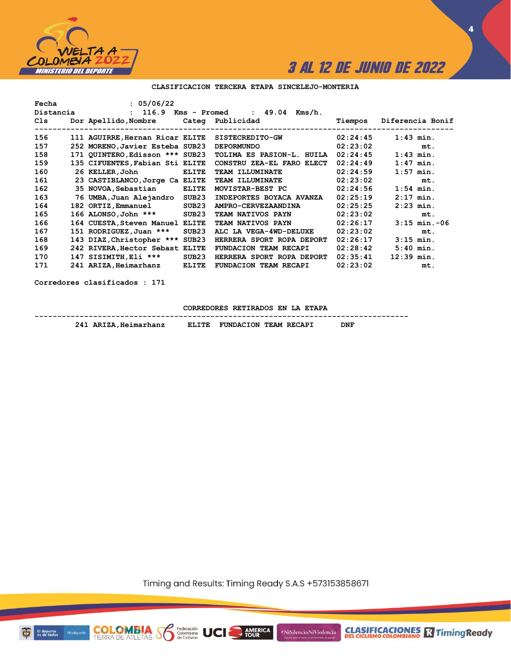

**4**

#### **CLASIFICACION TERCERA ETAPA SINCELEJO-MONTERIA**

| Fecha     | : 05/06/22                            |                   |                                         |          |                   |
|-----------|---------------------------------------|-------------------|-----------------------------------------|----------|-------------------|
| Distancia |                                       |                   | $: 116.9$ Kms - Promed $: 49.04$ Kms/h. |          |                   |
| Cls       | Dor Apellido, Nombre Cateq Publicidad |                   |                                         | Tiempos  | Diferencia Bonif  |
| 156       | 111 AGUIRRE, Hernan Ricar ELITE       |                   | <b>SISTECREDITO-GW</b>                  | 02:24:45 | $1:43$ min.       |
|           |                                       |                   |                                         |          |                   |
| 157       | 252 MORENO, Javier Esteba SUB23       |                   | <b>DEPORMUNDO</b>                       | 02:23:02 | mt.               |
| 158       | 171 QUINTERO, Edisson *** SUB23       |                   | TOLIMA ES PASION-L. HUILA               | 02:24:45 | $1:43$ min.       |
| 159       | 135 CIFUENTES, Fabian Sti ELITE       |                   | CONSTRU ZEA-EL FARO ELECT               | 02:24:49 | $1:47$ min.       |
| 160       | 26 KELLER, John                       | <b>ELITE</b>      | TEAM ILLUMINATE                         | 02:24:59 | $1:57$ min.       |
| 161       | 23 CASTIBLANCO, Jorge Ca ELITE        |                   | <b>TEAM ILLUMINATE</b>                  | 02:23:02 | mt.               |
| 162       | 35 NOVOA, Sebastian                   | <b>ELITE</b>      | MOVISTAR-BEST PC                        | 02:24:56 | $1:54$ min.       |
| 163       | 76 UMBA,Juan Alejandro                | SUB23             | INDEPORTES BOYACA AVANZA                | 02:25:19 | $2:17$ min.       |
| 164       | 182 ORTIZ, Emmanuel                   | SUB23             | AMPRO-CERVEZAANDINA                     | 02:25:25 | $2:23$ min.       |
| 165       | 166 ALONSO, John ***                  | SUB <sub>23</sub> | TEAM NATIVOS PAYN                       | 02:23:02 | mt.               |
| 166       | 164 CUESTA, Steven Manuel             | <b>ELITE</b>      | TEAM NATIVOS PAYN                       | 02:26:17 | $3:15$ min. $-06$ |
| 167       | 151 RODRIGUEZ, Juan ***               | SUB <sub>23</sub> | ALC LA VEGA-4WD-DELUXE                  | 02:23:02 | mt.               |
| 168       | 143 DIAZ, Christopher ***             | SUB23             | HERRERA SPORT ROPA DEPORT               | 02:26:17 | $3:15$ min.       |
| 169       | 242 RIVERA, Hector Sebast             | <b>ELITE</b>      | FUNDACION TEAM RECAPI                   | 02:28:42 | $5:40$ min.       |
| 170       | 147 SISIMITH, Eli ***                 | SUB23             | HERRERA SPORT ROPA DEPORT               | 02:35:41 | $12:39$ min.      |
| 171       | 241 ARIZA, Heimarhanz                 | <b>ELITE</b>      | FUNDACION TEAM RECAPI                   | 02:23:02 | mt.               |

**Corredores clasificados : 171**

**CORREDORES RETIRADOS EN LA ETAPA**

**-----------------------------------------------------------------------------------** 241 ARIZA, Heimarhanz **ELITE FUNDACION TEAM RECAPI** 

**COLOMBIA**<br>TIERRA DE ATLETAS **Solombiana** 

Timing and Results: Timing Ready S.A.S +573153858671

AMERICA



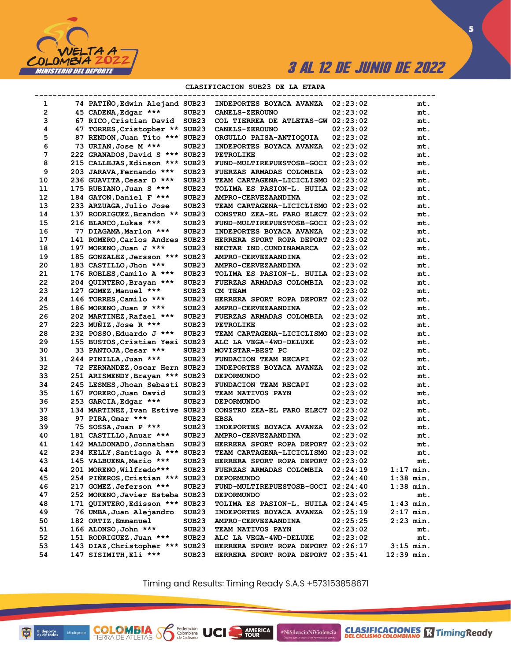

 $\overline{\mathbf{5}}$ 

### CLASIFICACION SUB23 DE LA ETAPA

|              |                                 |                   | ----------------------------------- |          | ------------------------ |
|--------------|---------------------------------|-------------------|-------------------------------------|----------|--------------------------|
| 1            | 74 PATIÑO, Edwin Alejand SUB23  |                   | <b>INDEPORTES BOYACA AVANZA</b>     | 02:23:02 | mt.                      |
| $\mathbf{2}$ | 45 CADENA, Edgar ***            | SUB23             | <b>CANELS-ZEROUNO</b>               | 02:23:02 | mt.                      |
| 3            | 67 RICO, Cristian David         | SUB23             | COL TIERREA DE ATLETAS-GW 02:23:02  |          | mt.                      |
| 4            | 47 TORRES, Cristopher ** SUB23  |                   | <b>CANELS-ZEROUNO</b>               | 02:23:02 | mt.                      |
| 5            | 87 RENDON, Juan Tito *** SUB23  |                   | ORGULLO PAISA-ANTIOQUIA             | 02:23:02 | mt.                      |
| 6            | 73 URIAN, Jose M ***            | SUB23             | <b>INDEPORTES BOYACA AVANZA</b>     | 02:23:02 | mt.                      |
| 7            | 222 GRANADOS, David S *** SUB23 |                   | PETROLIKE                           | 02:23:02 | mt.                      |
| 8            | 215 CALLEJAS, Edinson *** SUB23 |                   | FUND-MULTIREPUESTOSB-GOCI 02:23:02  |          | mt.                      |
| 9            | 203 JARAVA, Fernando ***        | SUB <sub>23</sub> | <b>FUERZAS ARMADAS COLOMBIA</b>     | 02:23:02 | mt.                      |
| 10           | 236 GUAVITA, Cesar D ***        | SUB <sub>23</sub> | TEAM CARTAGENA-LICICLISMO 02:23:02  |          | mt.                      |
| 11           | 175 RUBIANO, Juan S ***         | SUB <sub>23</sub> | TOLIMA ES PASION-L. HUILA 02:23:02  |          | mt.                      |
| 12           | 184 GAYON, Daniel F ***         | SUB <sub>23</sub> | AMPRO-CERVEZAANDINA                 | 02:23:02 | mt.                      |
| 13           | 233 ARZUAGA, Julio Jose         | SUB <sub>23</sub> | TEAM CARTAGENA-LICICLISMO 02:23:02  |          | mt.                      |
| 14           | 137 RODRIGUEZ, Brandon ** SUB23 |                   | CONSTRU ZEA-EL FARO ELECT 02:23:02  |          | mt.                      |
| 15           | 216 BLANCO, Lukas ***           | SUB <sub>23</sub> | FUND-MULTIREPUESTOSB-GOCI 02:23:02  |          | mt.                      |
| 16           | 77 DIAGAMA, Marlon ***          | SUB23             | <b>INDEPORTES BOYACA AVANZA</b>     | 02:23:02 | mt.                      |
| 17           | 141 ROMERO, Carlos Andres SUB23 |                   | HERRERA SPORT ROPA DEPORT 02:23:02  |          | mt.                      |
| 18           | 197 MORENO, Juan J ***          | SUB <sub>23</sub> | NECTAR IND.CUNDINAMARCA             | 02:23:02 | mt.                      |
| 19           | 185 GONZALEZ, Jersson *** SUB23 |                   | AMPRO-CERVEZAANDINA                 | 02:23:02 | mt.                      |
| 20           | 183 CASTILLO, Jhon ***          | SUB <sub>23</sub> | <b>AMPRO-CERVEZAANDINA</b>          | 02:23:02 | mt.                      |
| 21           | 176 ROBLES, Camilo A ***        | SUB <sub>23</sub> | TOLIMA ES PASION-L. HUILA 02:23:02  |          | mt.                      |
| 22           | 204 QUINTERO, Brayan ***        | SUB23             | <b>FUERZAS ARMADAS COLOMBIA</b>     | 02:23:02 | mt.                      |
| 23           | 127 GOMEZ, Manuel ***           | SUB <sub>23</sub> | CM TEAM                             | 02:23:02 | mt.                      |
| 24           | 146 TORRES, Camilo ***          | SUB <sub>23</sub> | HERRERA SPORT ROPA DEPORT 02:23:02  |          | mt.                      |
| 25           |                                 |                   |                                     |          |                          |
|              | 186 MORENO, Juan F ***          | SUB23             | AMPRO-CERVEZAANDINA                 | 02:23:02 | mt.                      |
| 26           | 202 MARTINEZ, Rafael ***        | SUB23             | <b>FUERZAS ARMADAS COLOMBIA</b>     | 02:23:02 | mt.                      |
| 27           | 223 MUNIZ, Jose R ***           | SUB <sub>23</sub> | PETROLIKE                           | 02:23:02 | mt.                      |
| 28           | 232 POSSO, Eduardo J ***        | SUB <sub>23</sub> | TEAM CARTAGENA-LICICLISMO 02:23:02  |          | mt.                      |
| 29           | 155 BUSTOS, Cristian Yesi SUB23 |                   | ALC LA VEGA-4WD-DELUXE              | 02:23:02 | mt.                      |
| 30           | 33 PANTOJA, Cesar ***           | SUB <sub>23</sub> | MOVISTAR-BEST PC                    | 02:23:02 | mt.                      |
| 31           | 244 PINILLA, Juan ***           | SUB <sub>23</sub> | FUNDACION TEAM RECAPI               | 02:23:02 | mt.                      |
| 32           | 72 FERNANDEZ, Oscar Hern SUB23  |                   | INDEPORTES BOYACA AVANZA            | 02:23:02 | mt.                      |
| 33           | 251 ARISMENDY, Brayan *** SUB23 |                   | <b>DEPORMUNDO</b>                   | 02:23:02 | mt.                      |
| 34           | 245 LESMES, Jhoan Sebasti SUB23 |                   | FUNDACION TEAM RECAPI               | 02:23:02 | mt.                      |
| 35           | 167 FORERO, Juan David          | SUB <sub>23</sub> | TEAM NATIVOS PAYN                   | 02:23:02 | mt.                      |
| 36           | 253 GARCIA, Edgar ***           | SUB23             | <b>DEPORMUNDO</b>                   | 02:23:02 | mt.                      |
| 37           | 134 MARTINEZ, Ivan Estive SUB23 |                   | CONSTRU ZEA-EL FARO ELECT 02:23:02  |          | mt.                      |
| 38           | 97 PIRA, Omar ***               | SUB <sub>23</sub> | <b>EBSA</b>                         | 02:23:02 | mt.                      |
| 39           | 75 SOSSA, Juan P ***            | SUB23             | INDEPORTES BOYACA AVANZA            | 02:23:02 | mt.                      |
| 40           | 181 CASTILLO, Anuar ***         | SUB <sub>23</sub> | AMPRO-CERVEZAANDINA                 | 02:23:02 | mt.                      |
| 41           | 142 MALDONADO, Jonnathan        | SUB23             | HERRERA SPORT ROPA DEPORT 02:23:02  |          | mt.                      |
| 42           | 234 KELLY, Santiago A *** SUB23 |                   | TEAM CARTAGENA-LICICLISMO 02:23:02  |          | mt.                      |
| 43           | 145 VALBUENA, Mario ***         | SUB <sub>23</sub> | HERRERA SPORT ROPA DEPORT 02:23:02  |          | mt.                      |
| 44           | 201 MORENO, Wilfredo***         | SUB23             | <b>FUERZAS ARMADAS COLOMBIA</b>     | 02:24:19 | 1:17 min.                |
| 45           | 254 PIÑEROS, Cristian ***       | SUB <sub>23</sub> | <b>DEPORMUNDO</b>                   | 02:24:40 | $1:38$ min.              |
| 46           | 217 GOMEZ, Jeferson ***         | SUB23             | FUND-MULTIREPUESTOSB-GOCI 02:24:40  |          | $1:38$ min.              |
| 47           | 252 MORENO, Javier Esteba SUB23 |                   | <b>DEPORMUNDO</b>                   | 02:23:02 | mt.                      |
| 48           | 171 QUINTERO, Edisson *** SUB23 |                   | TOLIMA ES PASION-L. HUILA 02:24:45  |          | $1:43$ min.              |
| 49           | 76 UMBA, Juan Alejandro         | SUB <sub>23</sub> | INDEPORTES BOYACA AVANZA            | 02:25:19 | $2:17$ min.              |
| 50           | 182 ORTIZ, Emmanuel             | SUB23             | AMPRO-CERVEZAANDINA                 | 02:25:25 | 2:23 min.                |
| 51           | 166 ALONSO, John ***            | SUB <sub>23</sub> | <b>TEAM NATIVOS PAYN</b>            | 02:23:02 | mt.                      |
| 52           | 151 RODRIGUEZ, Juan ***         | SUB <sub>23</sub> | ALC LA VEGA-4WD-DELUXE              | 02:23:02 | mt.                      |
| 53           | 143 DIAZ, Christopher ***       | SUB <sub>23</sub> | HERRERA SPORT ROPA DEPORT 02:26:17  |          | $3:15$ min.              |
| 54           | 147 SISIMITH, Eli ***           | SUB <sub>23</sub> | HERRERA SPORT ROPA DEPORT 02:35:41  |          | $12:39$ min.             |
|              |                                 |                   |                                     |          |                          |

Timing and Results: Timing Ready S.A.S +573153858671

AMERICA

#NiSilencioNiViolencia

**COLOMBIA SP** 

Federación<br>Colombiana<br>de Ciclismo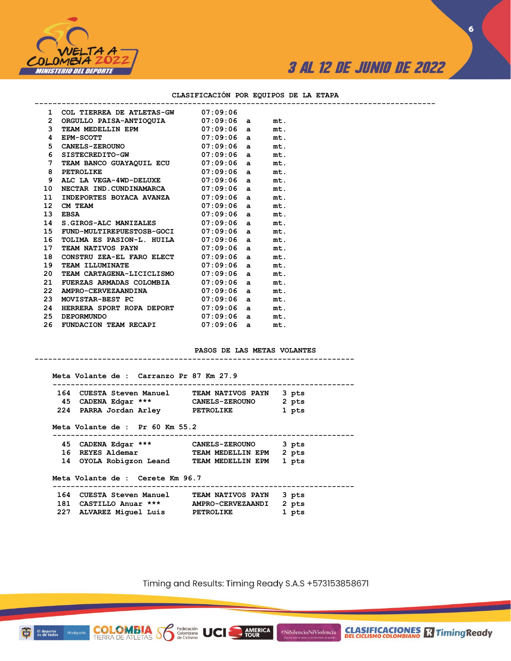

### **CLASIFICACIÓN POR EQUIPOS DE LA ETAPA**

|              | 1 COL TIERREA DE ATLETAS-GW 07:09:06                                              |              |     |  |
|--------------|-----------------------------------------------------------------------------------|--------------|-----|--|
| $\mathbf{2}$ | ORGULLO PAISA-ANTIOQUIA 07:09:06 a                                                |              | mt. |  |
| 3            | TEAM MEDELLIN EPM 07:09:06 a<br>EPM-SCOTT 07:09:06 a<br>CANELS-ZEROUNO 07:09:06 a |              | mt. |  |
| 4            |                                                                                   |              | mt. |  |
| $5 -$        |                                                                                   |              | mt. |  |
| 6            | SISTECREDITO-GW 07:09:06 a                                                        |              | mt. |  |
| $7^{\circ}$  | TEAM BANCO GUAYAQUIL ECU 07:09:06 a                                               |              | mt. |  |
|              | $07:09:06$ a<br>8 PETROLIKE                                                       |              | mt. |  |
| 9            | ALC LA VEGA-4WD-DELUXE 07:09:06 a                                                 |              | mt. |  |
| 10           | NECTAR IND.CUNDINAMARCA 07:09:06 a                                                |              | mt. |  |
| 11           | INDEPORTES BOYACA AVANZA 07:09:06 a                                               |              | mt. |  |
| 12           | $07:09:06$ a<br>07:09:06 a<br>CM TEAM                                             |              | mt. |  |
| 13           | <b>EBSA</b>                                                                       |              | mt. |  |
| 14           | S.GIROS-ALC MANIZALES 07:09:06 a                                                  |              | mt. |  |
| 15           | FUND-MULTIREPUESTOSB-GOCI 07:09:06 a                                              |              | mt. |  |
| 16           | TOLIMA ES PASION-L. HUILA 07:09:06 a                                              |              | mt. |  |
| 17           | TEAM NATIVOS PAYN 07:09:06 a                                                      |              | mt. |  |
| 18           | CONSTRU ZEA-EL FARO ELECT 07:09:06 a                                              |              | mt. |  |
| 19           | TEAM ILLUMINATE 07:09:06 a                                                        |              | mt. |  |
| 20           | TEAM CARTAGENA-LICICLISMO 07:09:06 a                                              |              | mt. |  |
| 21           | FUERZAS ARMADAS COLOMBIA 07:09:06 a                                               |              | mt. |  |
| 22           | AMPRO-CERVEZAANDINA 07:09:06 a                                                    |              | mt. |  |
| 23.          | MOVISTAR-BEST PC 07:09:06 a                                                       |              | mt. |  |
| 24           | HERRERA SPORT ROPA DEPORT 07:09:06 a                                              |              | mt. |  |
| 25           | $07:09:06$ a<br><b>DEPORMUNDO</b>                                                 |              | mt. |  |
| 26           | FUNDACION TEAM RECAPI                                                             | $07:09:06$ a | mt. |  |

#### **PASOS DE LAS METAS VOLANTES -----------------------------------------------------------------------**

| Meta Volante de : Carranzo Pr 87 Km 27.9                  |                          |       |
|-----------------------------------------------------------|--------------------------|-------|
| 164   CUESTA Steven Manuel                                | <b>TEAM NATIVOS PAYN</b> | 3 pts |
| 45 CADENA Edgar *** CANELS-ZEROUNO                        |                          | 2 pts |
| 224 PARRA Jordan Arley PETROLIKE                          |                          | 1 pts |
| Meta Volante de : Pr 60 Km 55.2                           |                          |       |
| 45 CADENA Edgar ***       CANELS-ZEROUNO                  |                          | 3 pts |
| 16 REYES Aldemar                                          | TEAM MEDELLIN EPM        | 2 pts |
| 14 OYOLA Robiqzon Leand TEAM MEDELLIN EPM                 |                          | 1 pts |
| Meta Volante de : Cerete Km 96.7                          |                          |       |
| <b>164 CUESTA Steven Manuel         TEAM NATIVOS PAYN</b> |                          | 3 pts |
|                                                           |                          |       |
|                                                           |                          | 2 pts |

**COLOMBIA Se Rederación** UCI

Timing and Results: Timing Ready S.A.S +573153858671

AMERICA

#NiSilencioNiViolencia

**CLASIFICACIONES** R Timing Ready

**6**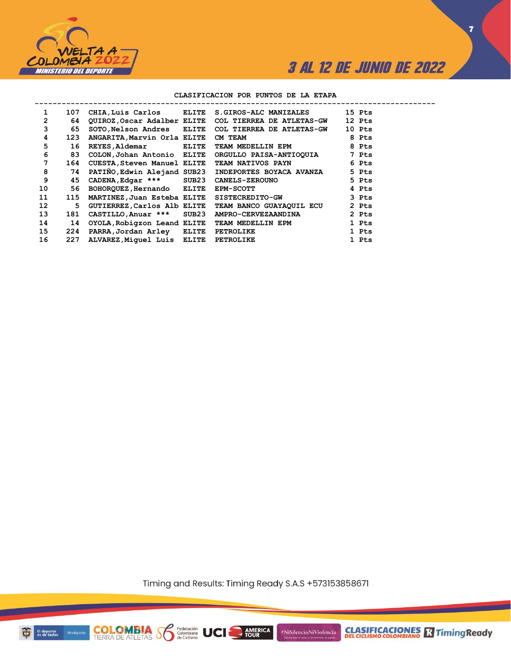

**7**

### **CLASIFICACION POR PUNTOS DE LA ETAPA**

| 107 |                |     |                                                                                                                                                                                  |                                                                                                                                                                                                                    | 15 Pts                                                                                                                                                                                                                                                                                                                                                 |
|-----|----------------|-----|----------------------------------------------------------------------------------------------------------------------------------------------------------------------------------|--------------------------------------------------------------------------------------------------------------------------------------------------------------------------------------------------------------------|--------------------------------------------------------------------------------------------------------------------------------------------------------------------------------------------------------------------------------------------------------------------------------------------------------------------------------------------------------|
| 64  |                |     |                                                                                                                                                                                  |                                                                                                                                                                                                                    | 12 Pts                                                                                                                                                                                                                                                                                                                                                 |
| 65  |                |     |                                                                                                                                                                                  |                                                                                                                                                                                                                    | 10 Pts                                                                                                                                                                                                                                                                                                                                                 |
| 123 |                |     | CM TEAM                                                                                                                                                                          |                                                                                                                                                                                                                    | 8 Pts                                                                                                                                                                                                                                                                                                                                                  |
| 16  | REYES, Aldemar |     |                                                                                                                                                                                  |                                                                                                                                                                                                                    | 8 Pts                                                                                                                                                                                                                                                                                                                                                  |
| 83  |                |     |                                                                                                                                                                                  |                                                                                                                                                                                                                    |                                                                                                                                                                                                                                                                                                                                                        |
|     |                |     |                                                                                                                                                                                  |                                                                                                                                                                                                                    |                                                                                                                                                                                                                                                                                                                                                        |
| 74  |                |     |                                                                                                                                                                                  |                                                                                                                                                                                                                    | 5 Pts                                                                                                                                                                                                                                                                                                                                                  |
| 45  |                |     | <b>CANELS-ZEROUNO</b>                                                                                                                                                            |                                                                                                                                                                                                                    | 5 Pts                                                                                                                                                                                                                                                                                                                                                  |
| 56  |                |     | <b>EPM-SCOTT</b>                                                                                                                                                                 |                                                                                                                                                                                                                    | 4 Pts                                                                                                                                                                                                                                                                                                                                                  |
| 115 |                |     |                                                                                                                                                                                  |                                                                                                                                                                                                                    | 3 Pts                                                                                                                                                                                                                                                                                                                                                  |
| 5.  |                |     |                                                                                                                                                                                  |                                                                                                                                                                                                                    | 2 Pts                                                                                                                                                                                                                                                                                                                                                  |
| 181 |                |     |                                                                                                                                                                                  |                                                                                                                                                                                                                    | 2 Pts                                                                                                                                                                                                                                                                                                                                                  |
| 14  |                |     |                                                                                                                                                                                  |                                                                                                                                                                                                                    | 1 Pts                                                                                                                                                                                                                                                                                                                                                  |
| 224 |                |     | <b>PETROLIKE</b>                                                                                                                                                                 |                                                                                                                                                                                                                    | 1 Pts                                                                                                                                                                                                                                                                                                                                                  |
| 227 |                |     | <b>PETROLIKE</b>                                                                                                                                                                 |                                                                                                                                                                                                                    | 1 Pts                                                                                                                                                                                                                                                                                                                                                  |
|     |                | 164 | ANGARITA, Marvin Orla ELITE<br>COLON, Johan Antonio ELITE<br>BOHORQUEZ, Hernando ELITE<br>MARTINEZ, Juan Esteba ELITE<br>PARRA, Jordan Arley ELITE<br>ALVAREZ, Miquel Luis ELITE | CHIA, Luis Carlos ELITE<br>SOTO, Nelson Andres ELITE<br>ELITE<br>CUESTA, Steven Manuel ELITE<br>CADENA, Edgar *** SUB23<br>GUTIERREZ, Carlos Alb ELITE<br>CASTILLO, Anuar *** SUB23<br>OYOLA, Robigzon Leand ELITE | <b>S.GIROS-ALC MANIZALES</b><br>QUIROZ, Oscar Adalber ELITE COL TIERREA DE ATLETAS-GW<br>COL TIERREA DE ATLETAS-GW<br>TEAM MEDELLIN EPM<br>ORGULLO PAISA-ANTIOQUIA 7 Pts<br>TEAM NATIVOS PAYN 6 Pts<br>PATIÑO, Edwin Alejand SUB23 INDEPORTES BOYACA AVANZA<br>SISTECREDITO-GW<br>TEAM BANCO GUAYAQUIL ECU<br>AMPRO-CERVEZAANDINA<br>TEAM MEDELLIN EPM |

Timing and Results: Timing Ready S.A.S +573153858671

AMERICA

**UCI** 

#NiSilencioNiViolencia



**COLOMBIA**<br>TIERRA DE ATLETAS **S** de Ciclismo

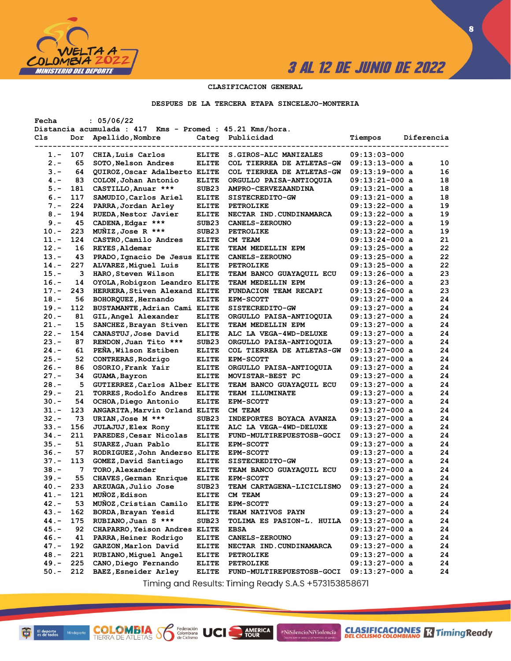

**CLASIFICACIONES** TimingReady

**8**

### **CLASIFICACION GENERAL**

#### **DESPUES DE LA TERCERA ETAPA SINCELEJO-MONTERIA**

| Fecha   |     | : 05/06/22                                               |                   |                           |                  |            |          |
|---------|-----|----------------------------------------------------------|-------------------|---------------------------|------------------|------------|----------|
|         |     | Distancia acumulada : 417 Kms - Promed : 45.21 Kms/hora. |                   |                           |                  |            |          |
| Cls     | Dor | Apellido, Nombre                                         | Categ             | Publicidad                | Tiempos          | Diferencia |          |
|         |     |                                                          |                   |                           |                  |            |          |
| 1.-     | 107 | CHIA, Luis Carlos                                        | <b>ELITE</b>      | S.GIROS-ALC MANIZALES     | $09:13:03-000$   |            |          |
| $2 -$   | 65  | SOTO, Nelson Andres                                      | <b>ELITE</b>      | COL TIERREA DE ATLETAS-GW | $09:13:13-000$ a |            | 10       |
| $3 -$   | 64  | QUIROZ, Oscar Adalberto ELITE                            |                   | COL TIERREA DE ATLETAS-GW | $09:13:19-000$ a |            | 16       |
| $4 -$   | 83  | COLON, Johan Antonio                                     | <b>ELITE</b>      | ORGULLO PAISA-ANTIOQUIA   | $09:13:21-000$ a |            | 18       |
| $5. -$  | 181 | CASTILLO, Anuar ***                                      | SUB <sub>23</sub> | AMPRO-CERVEZAANDINA       | 09:13:21-000 a   |            | 18       |
| $6. -$  | 117 | SAMUDIO, Carlos Ariel                                    | <b>ELITE</b>      | SISTECREDITO-GW           | $09:13:21-000$ a |            | 18       |
| $7 -$   | 224 | PARRA, Jordan Arley                                      | <b>ELITE</b>      | <b>PETROLIKE</b>          | $09:13:22-000$ a |            | 19       |
| $8 -$   | 194 | RUEDA, Nestor Javier                                     | <b>ELITE</b>      | NECTAR IND. CUNDINAMARCA  | $09:13:22-000$ a |            | 19       |
| $9 -$   | 45  | CADENA, Edgar ***                                        | SUB <sub>23</sub> | <b>CANELS-ZEROUNO</b>     | $09:13:22-000$ a |            | 19       |
| $10. -$ | 223 | MUNIZ, Jose R ***                                        | SUB <sub>23</sub> | PETROLIKE                 | $09:13:22-000$ a |            | 19       |
| $11. -$ | 124 | CASTRO, Camilo Andres                                    | <b>ELITE</b>      | CM TEAM                   | $09:13:24-000$ a |            | 21       |
| $12 -$  | 16  | REYES, Aldemar                                           | <b>ELITE</b>      | TEAM MEDELLIN EPM         | $09:13:25-000$ a |            | 22       |
| $13 -$  | 43  | PRADO, Ignacio De Jesus ELITE                            |                   | <b>CANELS-ZEROUNO</b>     | $09:13:25-000$ a |            | 22       |
| $14. -$ | 227 | ALVAREZ, Miguel Luis                                     | <b>ELITE</b>      | <b>PETROLIKE</b>          | 09:13:25-000 a   |            | 22       |
| $15. -$ | 3   | HARO, Steven Wilson                                      | <b>ELITE</b>      | TEAM BANCO GUAYAQUIL ECU  | $09:13:26-000$ a |            | 23       |
| $16. -$ | 14  | OYOLA, Robigzon Leandro ELITE                            |                   | TEAM MEDELLIN EPM         | $09:13:26-000$ a |            | 23       |
| $17. -$ | 243 | HERRERA, Stiven Alexand ELITE                            |                   | FUNDACION TEAM RECAPI     | $09:13:26-000$ a |            | 23       |
| $18. -$ | 56  | BOHORQUEZ, Hernando                                      | <b>ELITE</b>      | <b>EPM-SCOTT</b>          | $09:13:27-000$ a |            | 24       |
| $19. -$ | 112 | BUSTAMANTE, Adrian Cami ELITE                            |                   | SISTECREDITO-GW           | $09:13:27-000$ a |            | 24       |
| $20 -$  | 81  | GIL, Angel Alexander                                     | <b>ELITE</b>      | ORGULLO PAISA-ANTIOQUIA   | $09:13:27-000$ a |            | 24       |
| $21 -$  | 15  | SANCHEZ, Brayan Stiven                                   | <b>ELITE</b>      | TEAM MEDELLIN EPM         | $09:13:27-000$ a |            | 24       |
| $22 -$  | 154 | CANASTUJ, Jose David                                     | <b>ELITE</b>      | ALC LA VEGA-4WD-DELUXE    | $09:13:27-000$ a |            | 24       |
| $23 -$  | 87  | RENDON, Juan Tito ***                                    | SUB <sub>23</sub> | ORGULLO PAISA-ANTIOQUIA   | 09:13:27-000 a   |            | 24       |
| $24. -$ | 61  | PENA, Wilson Estiben                                     | <b>ELITE</b>      | COL TIERREA DE ATLETAS-GW | 09:13:27-000 a   |            | 24       |
| $25. -$ | 52  | CONTRERAS, Rodrigo                                       | <b>ELITE</b>      | <b>EPM-SCOTT</b>          | $09:13:27-000$ a |            | 24       |
| $26. -$ | 86  | OSORIO, Frank Yair                                       | <b>ELITE</b>      | ORGULLO PAISA-ANTIOQUIA   | $09:13:27-000$ a |            | 24       |
| $27 -$  | 34  |                                                          | <b>ELITE</b>      | MOVISTAR-BEST PC          |                  |            | 24       |
| $28. -$ | 5   | GUAMA, Bayron                                            |                   |                           | 09:13:27-000 a   |            | 24       |
|         |     | GUTIERREZ, Carlos Alber ELITE                            |                   | TEAM BANCO GUAYAQUIL ECU  | 09:13:27-000 a   |            |          |
| $29. -$ | 21  | TORRES, Rodolfo Andres                                   | <b>ELITE</b>      | TEAM ILLUMINATE           | $09:13:27-000$ a |            | 24<br>24 |
| $30 -$  | 54  | OCHOA, Diego Antonio                                     | <b>ELITE</b>      | <b>EPM-SCOTT</b>          | $09:13:27-000$ a |            |          |
| 31.-    | 123 | ANGARITA, Marvin Orland ELITE                            |                   | CM TEAM                   | $09:13:27-000$ a |            | 24       |
| $32 -$  | 73  | URIAN, Jose M ***                                        | SUB <sub>23</sub> | INDEPORTES BOYACA AVANZA  | $09:13:27-000$ a |            | 24       |
| $33. -$ | 156 | <b>JULAJUJ, Elex Rony</b>                                | <b>ELITE</b>      | ALC LA VEGA-4WD-DELUXE    | 09:13:27-000 a   |            | 24       |
| $34 -$  | 211 | PAREDES, Cesar Nicolas                                   | <b>ELITE</b>      | FUND-MULTIREPUESTOSB-GOCI | $09:13:27-000$ a |            | 24       |
| $35. -$ | 51  | SUAREZ, Juan Pablo                                       | <b>ELITE</b>      | <b>EPM-SCOTT</b>          | $09:13:27-000$ a |            | 24       |
| $36. -$ | 57  | RODRIGUEZ, John Anderso ELITE                            |                   | <b>EPM-SCOTT</b>          | $09:13:27-000$ a |            | 24       |
| $37 -$  | 113 | GOMEZ, David Santiago                                    | <b>ELITE</b>      | SISTECREDITO-GW           | $09:13:27-000$ a |            | 24       |
| $38 -$  | 7   | TORO, Alexander                                          | <b>ELITE</b>      | TEAM BANCO GUAYAQUIL ECU  | $09:13:27-000$ a |            | 24       |
| 39.-    | 55  | CHAVES, German Enrique                                   | <b>ELITE</b>      | <b>EPM-SCOTT</b>          | $09:13:27-000$ a |            | 24       |
| 40.-    | 233 | ARZUAGA, Julio Jose                                      | SUB <sub>23</sub> | TEAM CARTAGENA-LICICLISMO | $09:13:27-000$ a |            | 24       |
| 41.-    | 121 | MUÑOZ, Edison                                            | <b>ELITE</b>      | CM TEAM                   | $09:13:27-000$ a |            | 24       |
| $42 -$  | 53  | MUÑOZ, Cristian Camilo                                   | <b>ELITE</b>      | <b>EPM-SCOTT</b>          | $09:13:27-000$ a |            | 24       |
| $43 -$  | 162 | BORDA, Brayan Yesid                                      | <b>ELITE</b>      | TEAM NATIVOS PAYN         | $09:13:27-000$ a |            | 24       |
| $44. -$ | 175 | RUBIANO, Juan S ***                                      | SUB <sub>23</sub> | TOLIMA ES PASION-L. HUILA | $09:13:27-000$ a |            | 24       |
| $45. -$ | 92  | CHAPARRO, Yeison Andres ELITE                            |                   | <b>EBSA</b>               | $09:13:27-000$ a |            | 24       |
| $46. -$ | 41  | PARRA, Heiner Rodrigo                                    | <b>ELITE</b>      | CANELS-ZEROUNO            | $09:13:27-000$ a |            | 24       |
| $47. -$ | 192 | GARZON, Marlon David                                     | <b>ELITE</b>      | NECTAR IND. CUNDINAMARCA  | 09:13:27-000 a   |            | 24       |
| $48. -$ | 221 | RUBIANO, Miguel Angel                                    | <b>ELITE</b>      | PETROLIKE                 | 09:13:27-000 a   |            | 24       |
| $49. -$ | 225 | CANO, Diego Fernando                                     | <b>ELITE</b>      | <b>PETROLIKE</b>          | $09:13:27-000$ a |            | 24       |
| $50. -$ | 212 | BAEZ, Esneider Arley                                     | <b>ELITE</b>      | FUND-MULTIREPUESTOSB-GOCI | $09:13:27-000$ a |            | 24       |

Timing and Results: Timing Ready S.A.S +573153858671

AMERICA

#NiSilencioNiViolencia

**COLOMBIA S6** 

Federación<br>Colombiana<br>de Ciclismo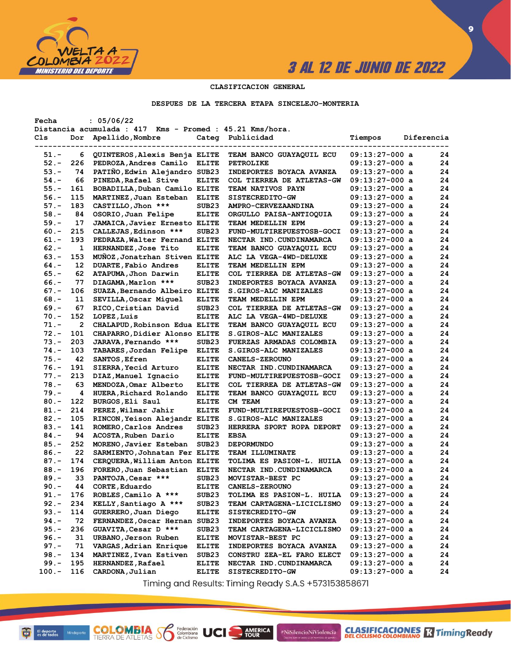

**CLASIFICACIONES** TimingReady

**9**

### **CLASIFICACION GENERAL**

#### **DESPUES DE LA TERCERA ETAPA SINCELEJO-MONTERIA**

| Fecha    |     | : 05/06/22                                               |                   |                            |                  |            |    |
|----------|-----|----------------------------------------------------------|-------------------|----------------------------|------------------|------------|----|
|          |     | Distancia acumulada : 417 Kms - Promed : 45.21 Kms/hora. |                   |                            |                  |            |    |
| Cls      | Dor | Apellido, Nombre                                         | Categ             | Publicidad                 | Tiempos          | Diferencia |    |
|          |     |                                                          |                   |                            |                  |            |    |
| 51.-     | 6   | QUINTEROS, Alexis Benja ELITE                            |                   | TEAM BANCO GUAYAQUIL ECU   | $09:13:27-000$ a |            | 24 |
| $52 -$   | 226 | PEDROZA, Andres Camilo                                   | <b>ELITE</b>      | <b>PETROLIKE</b>           | $09:13:27-000$ a |            | 24 |
| $53. -$  | 74  | PATIÑO, Edwin Alejandro SUB23                            |                   | INDEPORTES BOYACA AVANZA   | $09:13:27-000$ a |            | 24 |
| $54. -$  | 66  | PINEDA, Rafael Stive                                     | <b>ELITE</b>      | COL TIERREA DE ATLETAS-GW  | $09:13:27-000$ a |            | 24 |
| $55. -$  | 161 | BOBADILLA, Duban Camilo ELITE                            |                   | <b>TEAM NATIVOS PAYN</b>   | $09:13:27-000$ a |            | 24 |
| $56. -$  | 115 | MARTINEZ, Juan Esteban                                   | <b>ELITE</b>      | SISTECREDITO-GW            | $09:13:27-000$ a |            | 24 |
| $57. -$  | 183 | CASTILLO, Jhon ***                                       | SUB <sub>23</sub> | <b>AMPRO-CERVEZAANDINA</b> | $09:13:27-000$ a |            | 24 |
| $58. -$  | 84  | OSORIO, Juan Felipe                                      | <b>ELITE</b>      | ORGULLO PAISA-ANTIOQUIA    | $09:13:27-000$ a |            | 24 |
| $59. -$  | 17  | <b>JAMAICA, Javier Ernesto ELITE</b>                     |                   | TEAM MEDELLIN EPM          | $09:13:27-000$ a |            | 24 |
| $60 -$   | 215 | CALLEJAS, Edinson ***                                    | SUB <sub>23</sub> | FUND-MULTIREPUESTOSB-GOCI  | $09:13:27-000$ a |            | 24 |
| $61. -$  | 193 | PEDRAZA, Walter Fernand ELITE                            |                   | NECTAR IND.CUNDINAMARCA    | $09:13:27-000$ a |            | 24 |
| $62 -$   | 1   | HERNANDEZ, Jose Tito                                     | <b>ELITE</b>      | TEAM BANCO GUAYAQUIL ECU   | 09:13:27-000 a   |            | 24 |
| $63 -$   | 153 | MUNOZ, Jonatrhan Stiven ELITE                            |                   | ALC LA VEGA-4WD-DELUXE     | 09:13:27-000 a   |            | 24 |
| $64. -$  | 12  | DUARTE, Fabio Andres                                     | <b>ELITE</b>      | TEAM MEDELLIN EPM          | 09:13:27-000 a   |            | 24 |
| $65. -$  | 62  | ATAPUMA, Jhon Darwin                                     | <b>ELITE</b>      | COL TIERREA DE ATLETAS-GW  | $09:13:27-000$ a |            | 24 |
| $66. -$  | 77  | DIAGAMA, Marlon ***                                      | SUB <sub>23</sub> | INDEPORTES BOYACA AVANZA   | $09:13:27-000$ a |            | 24 |
| $67. -$  | 106 | SUAZA, Bernando Albeiro ELITE                            |                   | S.GIROS-ALC MANIZALES      | 09:13:27-000 a   |            | 24 |
|          |     | SEVILLA, Oscar Miquel                                    |                   |                            |                  |            | 24 |
| $68. -$  | 11  |                                                          | <b>ELITE</b>      | TEAM MEDELLIN EPM          | $09:13:27-000$ a |            |    |
| $69. -$  | 67  | RICO, Cristian David                                     | SUB <sub>23</sub> | COL TIERREA DE ATLETAS-GW  | $09:13:27-000$ a |            | 24 |
| $70. -$  | 152 | LOPEZ, Luis                                              | <b>ELITE</b>      | ALC LA VEGA-4WD-DELUXE     | $09:13:27-000$ a |            | 24 |
| $71. -$  | 2   | CHALAPUD, Robinson Edua ELITE                            |                   | TEAM BANCO GUAYAQUIL ECU   | $09:13:27-000$ a |            | 24 |
| $72. -$  | 101 | CHAPARRO, Didier Alonso ELITE                            |                   | S.GIROS-ALC MANIZALES      | $09:13:27-000$ a |            | 24 |
| $73. -$  | 203 | JARAVA, Fernando ***                                     | SUB <sub>23</sub> | FUERZAS ARMADAS COLOMBIA   | $09:13:27-000$ a |            | 24 |
| $74. -$  | 103 | TABARES, Jordan Felipe                                   | <b>ELITE</b>      | S.GIROS-ALC MANIZALES      | 09:13:27-000 a   |            | 24 |
| $75. -$  | 42  | SANTOS, Efren                                            | <b>ELITE</b>      | <b>CANELS-ZEROUNO</b>      | $09:13:27-000$ a |            | 24 |
| $76. -$  | 191 | SIERRA, Yecid Arturo                                     | <b>ELITE</b>      | NECTAR IND. CUNDINAMARCA   | $09:13:27-000$ a |            | 24 |
| $77. -$  | 213 | DIAZ, Manuel Ignacio                                     | <b>ELITE</b>      | FUND-MULTIREPUESTOSB-GOCI  | 09:13:27-000 a   |            | 24 |
| $78. -$  | 63  | MENDOZA, Omar Alberto                                    | <b>ELITE</b>      | COL TIERREA DE ATLETAS-GW  | 09:13:27-000 a   |            | 24 |
| $79. -$  | 4   | HUERA, Richard Rolando                                   | <b>ELITE</b>      | TEAM BANCO GUAYAQUIL ECU   | $09:13:27-000$ a |            | 24 |
| $80 -$   | 122 | BURGOS, Eli Saul                                         | <b>ELITE</b>      | CM TEAM                    | $09:13:27-000$ a |            | 24 |
| $81. -$  | 214 | PEREZ, Wilmar Jahir                                      | <b>ELITE</b>      | FUND-MULTIREPUESTOSB-GOCI  | $09:13:27-000$ a |            | 24 |
| $82 -$   | 105 | RINCON, Yeison Alejandr ELITE                            |                   | S.GIROS-ALC MANIZALES      | 09:13:27-000 a   |            | 24 |
| $83 -$   | 141 | ROMERO, Carlos Andres                                    | SUB <sub>23</sub> | HERRERA SPORT ROPA DEPORT  | $09:13:27-000$ a |            | 24 |
| $84. -$  | 94  | ACOSTA, Ruben Dario                                      | <b>ELITE</b>      | <b>EBSA</b>                | $09:13:27-000$ a |            | 24 |
| $85. -$  | 252 | MORENO, Javier Esteban                                   | SUB <sub>23</sub> | <b>DEPORMUNDO</b>          | $09:13:27-000$ a |            | 24 |
| $86. -$  | 22  | SARMIENTO, Johnatan Fer ELITE                            |                   | TEAM ILLUMINATE            | $09:13:27-000$ a |            | 24 |
| $87. -$  | 174 | CERQUERA, William Anton ELITE                            |                   | TOLIMA ES PASION-L. HUILA  | $09:13:27-000$ a |            | 24 |
| $88. -$  | 196 | FORERO, Juan Sebastian                                   | <b>ELITE</b>      | NECTAR IND.CUNDINAMARCA    | $09:13:27-000$ a |            | 24 |
| $89. -$  | 33  | PANTOJA, Cesar ***                                       | SUB <sub>23</sub> | MOVISTAR-BEST PC           | $09:13:27-000$ a |            | 24 |
| $90 -$   | 44  | CORTE, Eduardo                                           | <b>ELITE</b>      | <b>CANELS-ZEROUNO</b>      | $09:13:27-000$ a |            | 24 |
| $91 -$   | 176 | ROBLES, Camilo A ***                                     | SUB23             | TOLIMA ES PASION-L. HUILA  | $09:13:27-000$ a |            | 24 |
| $92 -$   | 234 | KELLY, Santiago A ***                                    | SUB <sub>23</sub> | TEAM CARTAGENA-LICICLISMO  | 09:13:27-000 a   |            | 24 |
| $93 -$   | 114 | GUERRERO, Juan Diego                                     | <b>ELITE</b>      | SISTECREDITO-GW            | 09:13:27-000 a   |            | 24 |
| 94.-     | 72  | FERNANDEZ, Oscar Hernan SUB23                            |                   | INDEPORTES BOYACA AVANZA   | 09:13:27-000 a   |            | 24 |
| $95. -$  | 236 | GUAVITA, Cesar D ***                                     | SUB <sub>23</sub> | TEAM CARTAGENA-LICICLISMO  | 09:13:27-000 a   |            | 24 |
| $96. -$  | 31  | URBANO, Jerson Ruben                                     |                   | MOVISTAR-BEST PC           |                  |            |    |
| $97. -$  | 71  |                                                          | <b>ELITE</b>      |                            | $09:13:27-000$ a |            | 24 |
|          |     | VARGAS, Adrian Enrique                                   | <b>ELITE</b>      | INDEPORTES BOYACA AVANZA   | $09:13:27-000$ a |            | 24 |
| $98. -$  | 134 | MARTINEZ, Ivan Estiven                                   | SUB <sub>23</sub> | CONSTRU ZEA-EL FARO ELECT  | $09:13:27-000$ a |            | 24 |
| $99. -$  | 195 | <b>HERNANDEZ, Rafael</b>                                 | <b>ELITE</b>      | NECTAR IND.CUNDINAMARCA    | 09:13:27-000 a   |            | 24 |
| $100. -$ | 116 | CARDONA, Julian                                          | <b>ELITE</b>      | SISTECREDITO-GW            | 09:13:27-000 a   |            | 24 |

Timing and Results: Timing Ready S.A.S +573153858671

AMERICA

#NiSilencioNiViolencia

**COLOMBIA SP** 

Federación<br>Colombiana<br>de Ciclismo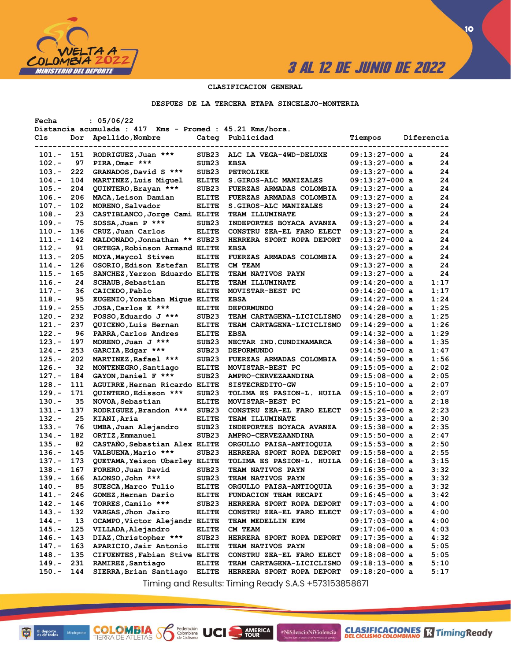

### **CLASIFICACION GENERAL**

#### **DESPUES DE LA TERCERA ETAPA SINCELEJO-MONTERIA**

| Fecha               |     | : 05/06/22                                               |                   |                                  |                                      |            |      |
|---------------------|-----|----------------------------------------------------------|-------------------|----------------------------------|--------------------------------------|------------|------|
|                     |     | Distancia acumulada : 417 Kms - Promed : 45.21 Kms/hora. |                   |                                  |                                      |            |      |
| Cls                 | Dor | Apellido, Nombre                                         | Categ             | Publicidad                       | Tiempos                              | Diferencia |      |
|                     |     |                                                          |                   |                                  |                                      |            |      |
| 101.-               | 151 | RODRIGUEZ, Juan ***                                      | SUB <sub>23</sub> | ALC LA VEGA-4WD-DELUXE           | $09:13:27-000$ a                     |            | 24   |
| $102 -$             | 97  | PIRA, Omar ***                                           | SUB <sub>23</sub> | <b>EBSA</b>                      | $09:13:27-000$ a                     |            | 24   |
| $103 -$             | 222 | GRANADOS, David S ***                                    | SUB <sub>23</sub> | <b>PETROLIKE</b>                 | $09:13:27-000$ a                     |            | 24   |
| $104. -$            | 104 | MARTINEZ, Luis Miguel                                    | <b>ELITE</b>      | S.GIROS-ALC MANIZALES            | $09:13:27-000$ a                     |            | 24   |
| $105.-$             | 204 | QUINTERO, Brayan ***                                     | SUB <sub>23</sub> | <b>FUERZAS ARMADAS COLOMBIA</b>  | $09:13:27-000$ a                     |            | 24   |
| $106. -$            | 206 | MACA, Leison Damian                                      | <b>ELITE</b>      | <b>FUERZAS ARMADAS COLOMBIA</b>  | $09:13:27-000$ a                     |            | 24   |
| $107.-$             | 102 | MORENO, Salvador                                         | <b>ELITE</b>      | <b>S.GIROS-ALC MANIZALES</b>     | $09:13:27-000$ a                     |            | 24   |
| $108. -$            | 23  | CASTIBLANCO, Jorge Cami ELITE                            |                   | <b>TEAM ILLUMINATE</b>           | $09:13:27-000$ a                     |            | 24   |
| $109. -$            | 75  | SOSSA, Juan P ***                                        | SUB <sub>23</sub> | <b>INDEPORTES BOYACA AVANZA</b>  | $09:13:27-000$ a                     |            | 24   |
| $110 -$             | 136 | CRUZ, Juan Carlos                                        | <b>ELITE</b>      | CONSTRU ZEA-EL FARO ELECT        | $09:13:27-000$ a                     |            | 24   |
| $111. -$            | 142 | MALDONADO, Jonnathan ** SUB23                            |                   | HERRERA SPORT ROPA DEPORT        | $09:13:27-000$ a                     |            | 24   |
| $112. -$            | 91  | ORTEGA, Robinson Armand ELITE                            |                   | <b>EBSA</b>                      | $09:13:27-000$ a                     |            | 24   |
| $113 -$             | 205 | MOYA, Maycol Stiven                                      | <b>ELITE</b>      | FUERZAS ARMADAS COLOMBIA         | $09:13:27-000$ a                     |            | 24   |
| $114. -$            | 126 | OSORIO, Edison Estefan                                   | <b>ELITE</b>      | CM TEAM                          | $09:13:27-000$ a                     |            | 24   |
| $115. -$            | 165 | SANCHEZ, Yerzon Eduardo ELITE                            |                   | <b>TEAM NATIVOS PAYN</b>         | $09:13:27-000$ a                     |            | 24   |
| $116. -$            | 24  | <b>SCHAUB, Sebastian</b>                                 | <b>ELITE</b>      | <b>TEAM ILLUMINATE</b>           | $09:14:20-000$ a                     |            | 1:17 |
| $117. -$            | 36  | CAICEDO, Pablo                                           | <b>ELITE</b>      | MOVISTAR-BEST PC                 | $09:14:20-000$ a                     |            | 1:17 |
| $118. -$            | 95  | EUGENIO, Yonathan Migue ELITE                            |                   | <b>EBSA</b>                      | $09:14:27-000$ a                     |            | 1:24 |
| $119. -$            | 255 | JOSA, Carlos E ***                                       | <b>ELITE</b>      | <b>DEPORMUNDO</b>                | $09:14:28-000$ a                     |            | 1:25 |
| $120 -$             | 232 | POSSO, Eduardo J ***                                     | SUB <sub>23</sub> | TEAM CARTAGENA-LICICLISMO        | $09:14:28-000$ a                     |            | 1:25 |
| $121. -$            | 237 | QUICENO, Luis Hernan                                     | <b>ELITE</b>      | <b>TEAM CARTAGENA-LICICLISMO</b> | $09:14:29-000$ a                     |            | 1:26 |
| $122 -$             | 96  | PARRA, Carlos Andres                                     | <b>ELITE</b>      | <b>EBSA</b>                      | 09:14:32-000 a                       |            | 1:29 |
| $123 -$             | 197 | MORENO, Juan J ***                                       | SUB <sub>23</sub> | NECTAR IND. CUNDINAMARCA         | $09:14:38-000$ a                     |            | 1:35 |
| $124. -$            | 253 | GARCIA, Edgar ***                                        | SUB <sub>23</sub> | <b>DEPORMUNDO</b>                | $09:14:50-000$ a                     |            | 1:47 |
| $125. -$            | 202 | MARTINEZ, Rafael ***                                     | SUB <sub>23</sub> | <b>FUERZAS ARMADAS COLOMBIA</b>  | $09:14:59-000$ a                     |            | 1:56 |
| $126. -$            | 32  | MONTENEGRO, Santiago                                     | <b>ELITE</b>      | MOVISTAR-BEST PC                 | $09:15:05-000$ a                     |            | 2:02 |
| $127. -$            | 184 | GAYON, Daniel F ***                                      | SUB23             | AMPRO-CERVEZAANDINA              | $09:15:08-000$ a                     |            | 2:05 |
| $128 -$             | 111 | AGUIRRE, Hernan Ricardo ELITE                            |                   | <b>SISTECREDITO-GW</b>           | $09:15:10-000$ a                     |            | 2:07 |
| $129. -$            | 171 | QUINTERO, Edisson ***                                    | SUB <sub>23</sub> | TOLIMA ES PASION-L. HUILA        | $09:15:10-000$ a                     |            | 2:07 |
| $130 -$             | 35  | NOVOA, Sebastian                                         | <b>ELITE</b>      | MOVISTAR-BEST PC                 | $09:15:21-000$ a                     |            | 2:18 |
| 131.-               | 137 | RODRIGUEZ, Brandon ***                                   | SUB <sub>23</sub> | CONSTRU ZEA-EL FARO ELECT        | $09:15:26-000$ a                     |            | 2:23 |
| $132 -$             | 25  | KIANI, Aria                                              | <b>ELITE</b>      | <b>TEAM ILLUMINATE</b>           | $09:15:33-000$ a                     |            | 2:30 |
| $133 -$             | 76  | UMBA, Juan Alejandro                                     | SUB <sub>23</sub> | <b>INDEPORTES BOYACA AVANZA</b>  | $09:15:38-000$ a                     |            | 2:35 |
| $134. -$            | 182 | ORTIZ, Emmanuel                                          | SUB23             | <b>AMPRO-CERVEZAANDINA</b>       | $09:15:50-000$ a                     |            | 2:47 |
| 135.-               | 82  | CASTANO, Sebastian Alex ELITE                            |                   | ORGULLO PAISA-ANTIOQUIA          | $09:15:53-000$ a                     |            | 2:50 |
| $136. -$            | 145 | VALBUENA, Mario ***                                      | SUB <sub>23</sub> | HERRERA SPORT ROPA DEPORT        |                                      |            | 2:55 |
|                     | 173 |                                                          |                   | TOLIMA ES PASION-L. HUILA        | $09:15:58-000$ a<br>$09:16:18-000$ a |            | 3:15 |
| $137. -$<br>$138 -$ |     | QUETAMA, Yeison Ubarley ELITE                            |                   |                                  |                                      |            | 3:32 |
|                     | 167 | FORERO, Juan David                                       | SUB <sub>23</sub> | <b>TEAM NATIVOS PAYN</b>         | $09:16:35-000$ a                     |            |      |
| $139. -$            | 166 | ALONSO, John ***                                         | SUB <sub>23</sub> | <b>TEAM NATIVOS PAYN</b>         | $09:16:35-000$ a                     |            | 3:32 |
| $140 -$             | 85  | SUESCA, Marco Tulio                                      | <b>ELITE</b>      | ORGULLO PAISA-ANTIOQUIA          | $09:16:35-000$ a                     |            | 3:32 |
| 141.-               | 246 | GOMEZ, Hernan Dario                                      | <b>ELITE</b>      | FUNDACION TEAM RECAPI            | $09:16:45-000$ a                     |            | 3:42 |
| $142. -$            | 146 | TORRES, Camilo ***                                       | SUB23             | HERRERA SPORT ROPA DEPORT        | $09:17:03-000$ a                     |            | 4:00 |
| $143. -$            | 132 | VARGAS, Jhon Jairo                                       | <b>ELITE</b>      | <b>CONSTRU ZEA-EL FARO ELECT</b> | $09:17:03-000$ a                     |            | 4:00 |
| $144. -$            | 13  | OCAMPO, Victor Alejandr ELITE                            |                   | TEAM MEDELLIN EPM                | $09:17:03-000$ a                     |            | 4:00 |
| $145. -$            | 125 | VILLADA, Alejandro                                       | <b>ELITE</b>      | CM TEAM                          | $09:17:06-000$ a                     |            | 4:03 |
| $146. -$            | 143 | DIAZ, Christopher ***                                    | SUB <sub>23</sub> | HERRERA SPORT ROPA DEPORT        | $09:17:35-000$ a                     |            | 4:32 |
| $147. -$            | 163 | APARICIO, Jair Antonio                                   | <b>ELITE</b>      | <b>TEAM NATIVOS PAYN</b>         | $09:18:08-000$ a                     |            | 5:05 |
| $148. -$            | 135 | CIFUENTES, Fabian Stive ELITE                            |                   | CONSTRU ZEA-EL FARO ELECT        | $09:18:08-000$ a                     |            | 5:05 |
| $149. -$            | 231 | RAMIREZ, Santiago                                        | <b>ELITE</b>      | TEAM CARTAGENA-LICICLISMO        | $09:18:13-000$ a                     |            | 5:10 |
| $150. -$            | 144 | SIERRA, Brian Santiago                                   | <b>ELITE</b>      | HERRERA SPORT ROPA DEPORT        | $09:18:20-000$ a                     |            | 5:17 |
|                     |     |                                                          |                   |                                  |                                      |            |      |

Timing and Results: Timing Ready S.A.S +573153858671

AMERICA

UCI

#NiSilencioNiViolencia

**COLOMBIA**<br>TIERRA DE ATLETAS **S** Rederación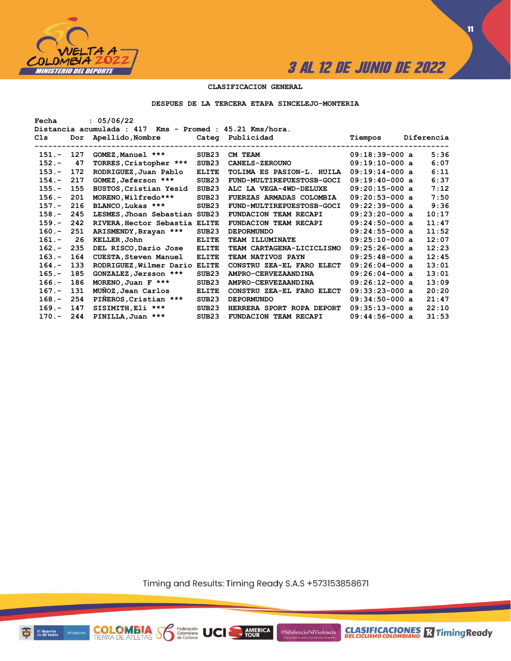

**11**

### **CLASIFICACION GENERAL**

#### **DESPUES DE LA TERCERA ETAPA SINCELEJO-MONTERIA**

| : 05/06/22<br>Fecha |                                                          |                               |                   |                              |                             |  |            |  |  |  |  |  |
|---------------------|----------------------------------------------------------|-------------------------------|-------------------|------------------------------|-----------------------------|--|------------|--|--|--|--|--|
|                     | Distancia acumulada : 417 Kms - Promed : 45.21 Kms/hora. |                               |                   |                              |                             |  |            |  |  |  |  |  |
| Cls                 |                                                          | Dor Apellido, Nombre          |                   | Categ Publicidad             | Tiempos                     |  | Diferencia |  |  |  |  |  |
|                     |                                                          |                               | -------------     |                              | --------------------------- |  |            |  |  |  |  |  |
| $151 -$             | 127                                                      | GOMEZ, Manuel ***             | SUB23             | CM TEAM                      | $09:18:39-000$ a            |  | 5:36       |  |  |  |  |  |
| $152 -$             | 47                                                       | TORRES, Cristopher ***        | SUB <sub>23</sub> | <b>CANELS-ZEROUNO</b>        | $09:19:10-000$ a            |  | 6:07       |  |  |  |  |  |
| $153 -$             | 172                                                      | RODRIGUEZ, Juan Pablo         | <b>ELITE</b>      | TOLIMA ES PASION-L. HUILA    | $09:19:14-000$ a            |  | 6:11       |  |  |  |  |  |
| $154. -$            | 217                                                      | GOMEZ, Jeferson ***           | SUB23             | FUND-MULTIREPUESTOSB-GOCI    | $09:19:40-000$ a            |  | 6:37       |  |  |  |  |  |
| $155. -$            | 155                                                      | BUSTOS, Cristian Yesid        | SUB23             | ALC LA VEGA-4WD-DELUXE       | $09:20:15-000$ a            |  | 7:12       |  |  |  |  |  |
| $156. -$            | 201                                                      | MORENO, Wilfredo***           | SUB23             | FUERZAS ARMADAS COLOMBIA     | $09:20:53-000$ a            |  | 7:50       |  |  |  |  |  |
| $157. -$            | 216                                                      | BLANCO, Lukas ***             | SUB <sub>23</sub> | FUND-MULTIREPUESTOSB-GOCI    | $09:22:39-000$ a            |  | 9:36       |  |  |  |  |  |
| $158 -$             | 245                                                      | LESMES, Jhoan Sebastian SUB23 |                   | FUNDACION TEAM RECAPI        | $09:23:20-000$ a            |  | 10:17      |  |  |  |  |  |
| $159. -$            | 242                                                      | RIVERA, Hector Sebastia ELITE |                   | <b>FUNDACION TEAM RECAPI</b> | $09:24:50-000$ a            |  | 11:47      |  |  |  |  |  |
| $160 -$             | 251                                                      | ARISMENDY, Brayan ***         | SUB23             | <b>DEPORMUNDO</b>            | $09:24:55-000$ a            |  | 11:52      |  |  |  |  |  |
| $161. -$            | 26                                                       | KELLER, John                  | <b>ELITE</b>      | <b>TEAM ILLUMINATE</b>       | $09:25:10-000$ a            |  | 12:07      |  |  |  |  |  |
| $162 -$             | 235                                                      | DEL RISCO, Dario Jose         | <b>ELITE</b>      | TEAM CARTAGENA-LICICLISMO    | $09:25:26-000$ a            |  | 12:23      |  |  |  |  |  |
| $163 -$             | 164                                                      | <b>CUESTA, Steven Manuel</b>  | <b>ELITE</b>      | TEAM NATIVOS PAYN            | $09:25:48-000$ a            |  | 12:45      |  |  |  |  |  |
| $164. -$            | 133                                                      | RODRIGUEZ, Wilmer Dario       | <b>ELITE</b>      | CONSTRU ZEA-EL FARO ELECT    | $09:26:04-000$ a            |  | 13:01      |  |  |  |  |  |
| $165. -$            | 185                                                      | GONZALEZ, Jersson ***         | SUB <sub>23</sub> | AMPRO-CERVEZAANDINA          | $09:26:04-000$ a            |  | 13:01      |  |  |  |  |  |
| $166. -$            | 186                                                      | MORENO, Juan F $***$          | SUB23             | AMPRO-CERVEZAANDINA          | $09:26:12-000$ a            |  | 13:09      |  |  |  |  |  |
| $167. -$            | 131                                                      | MUNOZ, Jean Carlos            | <b>ELITE</b>      | CONSTRU ZEA-EL FARO ELECT    | $09:33:23-000$ a            |  | 20:20      |  |  |  |  |  |
| $168. -$            | 254                                                      | PIÑEROS, Cristian ***         | SUB <sub>23</sub> | <b>DEPORMUNDO</b>            | $09:34:50-000$ a            |  | 21:47      |  |  |  |  |  |
| $169. -$            | 147                                                      | SISIMITH, Eli ***             | SUB <sub>23</sub> | HERRERA SPORT ROPA DEPORT    | $09:35:13-000$ a            |  | 22:10      |  |  |  |  |  |
| $170 - 244$         |                                                          | PINILLA, Juan ***             | SUB23             | FUNDACION TEAM RECAPI        | $09:44:56-000$ a            |  | 31:53      |  |  |  |  |  |

Timing and Results: Timing Ready S.A.S +573153858671

**AMERICA** 

#NiSilencioNiViolencia



**COLOMBIA S6** 

Federación<br>Colombiana<br>de Ciclismo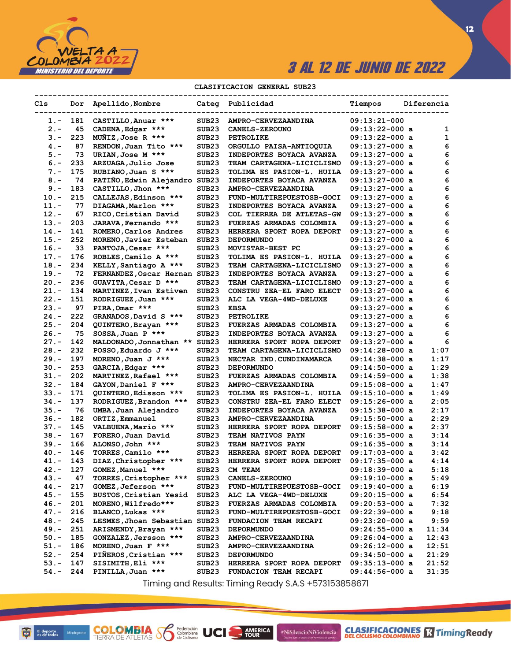

 $12$ 

### CLASIFICACION GENERAL SUB23

| Cls     |     | Dor Apellido, Nombre          |                   | Categ Publicidad          | Tiempos          | Diferencia |
|---------|-----|-------------------------------|-------------------|---------------------------|------------------|------------|
| $1. -$  | 181 | CASTILLO, Anuar ***           | SUB23             | AMPRO-CERVEZAANDINA       | $09:13:21-000$   |            |
| $2 -$   | 45  | CADENA, Edgar ***             | SUB23             | <b>CANELS-ZEROUNO</b>     | $09:13:22-000$ a | 1          |
| $3 -$   | 223 | MUNIZ, Jose R ***             | SUB <sub>23</sub> | <b>PETROLIKE</b>          | $09:13:22-000$ a | 1          |
| $4 -$   | 87  | RENDON, Juan Tito ***         | SUB23             | ORGULLO PAISA-ANTIOQUIA   | $09:13:27-000$ a | 6          |
| $5. -$  | 73  | URIAN, Jose M ***             | SUB23             | INDEPORTES BOYACA AVANZA  | 09:13:27-000 a   | 6          |
| $6 -$   | 233 | ARZUAGA, Julio Jose           | SUB23             | TEAM CARTAGENA-LICICLISMO | 09:13:27-000 a   | 6          |
| $7 -$   | 175 | RUBIANO, Juan S ***           | SUB23             | TOLIMA ES PASION-L. HUILA | 09:13:27-000 a   | 6          |
| $8 -$   | 74  | PATIÑO, Edwin Alejandro       | SUB <sub>23</sub> | INDEPORTES BOYACA AVANZA  | 09:13:27-000 a   | 6          |
| $9 -$   | 183 | CASTILLO, Jhon ***            | SUB23             | AMPRO-CERVEZAANDINA       | 09:13:27-000 a   | 6          |
| $10.-$  | 215 | CALLEJAS, Edinson ***         | SUB23             | FUND-MULTIREPUESTOSB-GOCI | 09:13:27-000 a   | 6          |
| 11.-    | 77  | DIAGAMA, Marlon ***           | SUB23             | INDEPORTES BOYACA AVANZA  | 09:13:27-000 a   | 6          |
| $12. -$ | 67  | RICO, Cristian David          | SUB23             | COL TIERREA DE ATLETAS-GW | 09:13:27-000 a   | 6          |
| 13.-    | 203 | JARAVA, Fernando ***          | SUB23             | FUERZAS ARMADAS COLOMBIA  | 09:13:27-000 a   | 6          |
| $14. -$ | 141 | ROMERO, Carlos Andres         | SUB23             | HERRERA SPORT ROPA DEPORT | 09:13:27-000 a   | 6          |
| 15.-    | 252 | MORENO, Javier Esteban        | SUB23             | <b>DEPORMUNDO</b>         | 09:13:27-000 a   | 6          |
| 16.-    | 33  | PANTOJA, Cesar ***            | SUB23             | MOVISTAR-BEST PC          | $09:13:27-000$ a | 6          |
| 17.-    | 176 | ROBLES, Camilo A ***          | SUB23             | TOLIMA ES PASION-L. HUILA | 09:13:27-000 a   | 6          |
| 18.-    | 234 | KELLY, Santiago A ***         | SUB23             | TEAM CARTAGENA-LICICLISMO | $09:13:27-000$ a | 6          |
| 19.-    | 72  | FERNANDEZ, Oscar Hernan SUB23 |                   | INDEPORTES BOYACA AVANZA  | $09:13:27-000$ a | 6          |
| 20.-    | 236 | GUAVITA, Cesar D ***          | SUB <sub>23</sub> | TEAM CARTAGENA-LICICLISMO | 09:13:27-000 a   | 6          |
| 21.-    | 134 | MARTINEZ, Ivan Estiven        | SUB <sub>23</sub> | CONSTRU ZEA-EL FARO ELECT | 09:13:27-000 a   | 6          |
| $22 -$  | 151 | RODRIGUEZ, Juan ***           | SUB23             | ALC LA VEGA-4WD-DELUXE    | 09:13:27-000 a   | 6          |
| 23.-    | 97  | PIRA, Omar ***                | SUB23             | <b>EBSA</b>               | 09:13:27-000 a   | 6          |
| $24. -$ | 222 | GRANADOS, David S ***         | SUB <sub>23</sub> | <b>PETROLIKE</b>          | 09:13:27-000 a   | 6          |
| 25.-    | 204 | QUINTERO, Brayan ***          | SUB23             | FUERZAS ARMADAS COLOMBIA  | 09:13:27-000 a   | 6          |
| 26.-    | 75  | $SOSSA$ , Juan P ***          | SUB23             | INDEPORTES BOYACA AVANZA  | 09:13:27-000 a   | 6          |
| 27.-    | 142 | MALDONADO, Jonnathan **       | SUB <sub>23</sub> | HERRERA SPORT ROPA DEPORT | 09:13:27-000 a   | 6          |
| $28. -$ | 232 | POSSO, Eduardo J ***          | SUB23             | TEAM CARTAGENA-LICICLISMO | 09:14:28-000 a   | 1:07       |
| $29. -$ | 197 | MORENO, Juan $J$ ***          | SUB23             | NECTAR IND. CUNDINAMARCA  | 09:14:38-000 a   | 1:17       |
| $30 -$  | 253 | GARCIA, Edgar ***             | SUB23             | <b>DEPORMUNDO</b>         | 09:14:50-000 a   | 1:29       |
| 31.-    | 202 | MARTINEZ, Rafael ***          | SUB23             | FUERZAS ARMADAS COLOMBIA  | $09:14:59-000$ a | 1:38       |
| $32 -$  | 184 | GAYON, Daniel F ***           | SUB23             | AMPRO-CERVEZAANDINA       | 09:15:08-000 a   | 1:47       |
| $33 -$  | 171 | QUINTERO, Edisson ***         | SUB23             | TOLIMA ES PASION-L. HUILA | 09:15:10-000 a   | 1:49       |
| $34. -$ | 137 | RODRIGUEZ, Brandon ***        | SUB23             | CONSTRU ZEA-EL FARO ELECT | 09:15:26-000 a   | 2:05       |
| $35. -$ | 76  | UMBA, Juan Alejandro          | SUB23             | INDEPORTES BOYACA AVANZA  | 09:15:38-000 a   | 2:17       |
| 36.-    | 182 | ORTIZ, Emmanuel               | SUB23             | AMPRO-CERVEZAANDINA       | $09:15:50-000$ a | 2:29       |
| 37.-    | 145 | VALBUENA, Mario ***           | SUB23             | HERRERA SPORT ROPA DEPORT | 09:15:58-000 a   | 2:37       |
| $38. -$ | 167 | FORERO, Juan David            | SUB23             | TEAM NATIVOS PAYN         | 09:16:35-000 a   | 3:14       |
| $39. -$ | 166 | ALONSO, John ***              | SUB23             | TEAM NATIVOS PAYN         | $09:16:35-000$ a | 3:14       |
| $40 -$  | 146 | TORRES, Camilo ***            | SUB23             | HERRERA SPORT ROPA DEPORT | $09:17:03-000$ a | 3:42       |
| 41.-    | 143 | DIAZ, Christopher ***         | SUB23             | HERRERA SPORT ROPA DEPORT | 09:17:35-000 a   | 4:14       |
| $42 -$  | 127 | GOMEZ, Manuel ***             | SUB23             | CM TEAM                   | $09:18:39-000$ a | 5:18       |
| 43.-    | 47  | TORRES, Cristopher ***        | SUB23             | <b>CANELS-ZEROUNO</b>     | $09:19:10-000$ a | 5:49       |
| $44. -$ | 217 | GOMEZ, Jeferson ***           | SUB23             | FUND-MULTIREPUESTOSB-GOCI | 09:19:40-000 a   | 6:19       |
| $45. -$ | 155 | BUSTOS, Cristian Yesid        | SUB23             | ALC LA VEGA-4WD-DELUXE    | $09:20:15-000$ a | 6:54       |
| 46.-    | 201 | MORENO, Wilfredo***           | SUB23             | FUERZAS ARMADAS COLOMBIA  | $09:20:53-000$ a | 7:32       |
| 47.-    | 216 | BLANCO, Lukas ***             | SUB23             | FUND-MULTIREPUESTOSB-GOCI | 09:22:39-000 a   | 9:18       |
| $48. -$ | 245 | LESMES, Jhoan Sebastian SUB23 |                   | FUNDACION TEAM RECAPI     | 09:23:20-000 a   | 9:59       |
| $49. -$ | 251 | ARISMENDY, Brayan ***         | SUB23             | <b>DEPORMUNDO</b>         | $09:24:55-000$ a | 11:34      |
| $50. -$ | 185 | GONZALEZ, Jersson ***         | SUB23             | AMPRO-CERVEZAANDINA       | $09:26:04-000$ a | 12:43      |
| $51. -$ | 186 | MORENO, Juan $F$ ***          | SUB23             | AMPRO-CERVEZAANDINA       | 09:26:12-000 a   | 12:51      |
| $52 -$  | 254 | PIÑEROS, Cristian ***         | SUB23             | <b>DEPORMUNDO</b>         | $09:34:50-000$ a | 21:29      |
| $53. -$ | 147 | SISIMITH, Eli ***             | SUB23             | HERRERA SPORT ROPA DEPORT | $09:35:13-000$ a | 21:52      |
| 54.-    | 244 | PINILLA, Juan ***             | SUB23             | FUNDACION TEAM RECAPI     | 09:44:56-000 a   | 31:35      |

Timing and Results: Timing Ready S.A.S +573153858671

AMERICA

#NiSilencioNiViolencia

**COLOMBIA SP** 

Federación<br>Colombiana<br>de Ciclismo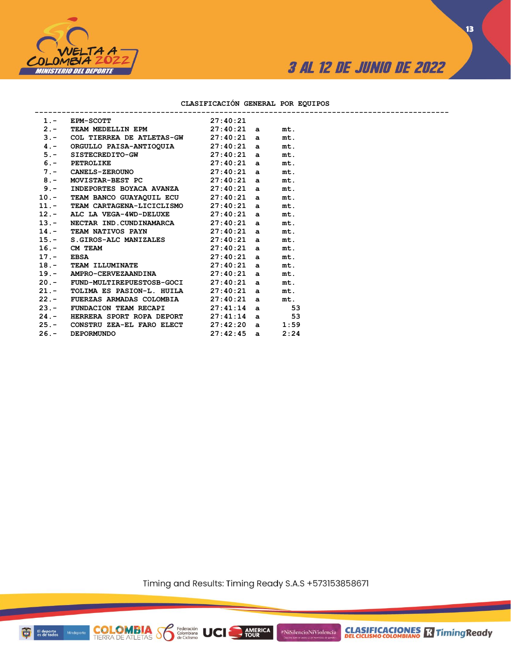

### **CLASIFICACIÓN GENERAL POR EQUIPOS**

|  | 1. - EPM-SCOTT 27:40:21                                                                   |                   |      |  |
|--|-------------------------------------------------------------------------------------------|-------------------|------|--|
|  | 2.- TEAM MEDELLIN EPM $27:40:21$ a                                                        |                   | mt.  |  |
|  | $3.$ - COL TIERREA DE ATLETAS-GW 27:40:21 a                                               |                   | mt.  |  |
|  | 4.- ORGULLO PAISA-ANTIOQUIA 27:40:21 a                                                    |                   | mt.  |  |
|  |                                                                                           |                   | mt.  |  |
|  | 5. SISTECREDITO-GW 27:40:21 a<br>6. PETROLIKE 27:40:21 a<br>7.- CANELS-ZEROUNO 27:40:21 a |                   | mt.  |  |
|  |                                                                                           |                   | mt.  |  |
|  | 8.- MOVISTAR-BEST PC $27:40:21$ a                                                         |                   | mt.  |  |
|  | 9.- INDEPORTES BOYACA AVANZA 27:40:21 a                                                   |                   | mt.  |  |
|  | 10.- TEAM BANCO GUAYAQUIL ECU 27:40:21 a                                                  |                   | mt.  |  |
|  | 11.- TEAM CARTAGENA-LICICLISMO 27:40:21 a                                                 |                   | mt.  |  |
|  | 12.- ALC LA VEGA-4WD-DELUXE $27:40:21$ a                                                  |                   | mt.  |  |
|  | 13.- NECTAR IND.CUNDINAMARCA 27:40:21 a                                                   |                   | mt.  |  |
|  | 14.- TEAM NATIVOS PAYN 27:40:21 a                                                         |                   | mt.  |  |
|  | 15.- S.GIROS-ALC MANIZALES 27:40:21 a<br>16.- CM TEAM 27:40:21 a<br>17.- EBSA 27:40:21 a  |                   | mt.  |  |
|  |                                                                                           |                   | mt.  |  |
|  |                                                                                           |                   | mt.  |  |
|  | 18. - TEAM ILLUMINATE $27:40:21$ a                                                        |                   | mt.  |  |
|  | 19.- AMPRO-CERVEZAANDINA 27:40:21 a                                                       |                   | mt.  |  |
|  | 20.- FUND-MULTIREPUESTOSB-GOCI 27:40:21 a                                                 |                   | mt.  |  |
|  | 21.- TOLIMA ES PASION-L. HUILA                                                            | 27:40:21 a        | mt.  |  |
|  | 22.- FUERZAS ARMADAS COLOMBIA 27:40:21 a                                                  |                   | mt.  |  |
|  | 23.- FUNDACION TEAM RECAPI 27:41:14 a 53                                                  |                   |      |  |
|  | 24.- HERRERA SPORT ROPA DEPORT                                                            | $27:41:14$ a 53   |      |  |
|  | 25.- CONSTRU ZEA-EL FARO ELECT                                                            | $27:42:20$ a 1:59 |      |  |
|  | 26. - DEPORMUNDO                                                                          | $27:42:45$ a      | 2:24 |  |
|  |                                                                                           |                   |      |  |

**COLOMBIA Sombiana** UCI

Timing and Results: Timing Ready S.A.S +573153858671

AMERICA

#NiSilencioNiViolencia

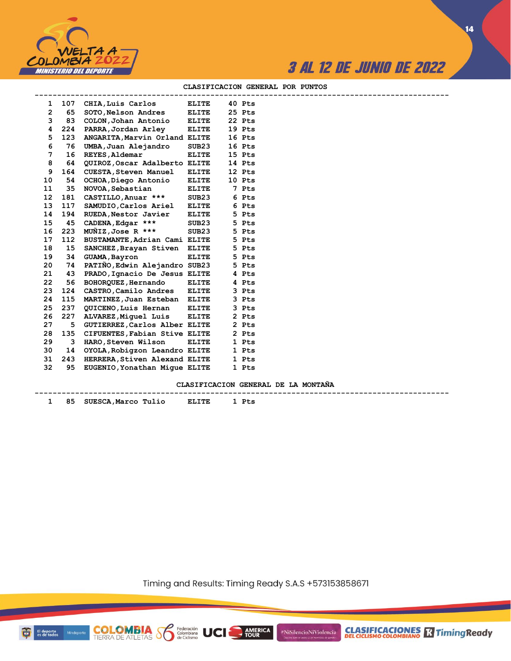



**14**

|                |     | ------------------------------ |              |        |  |
|----------------|-----|--------------------------------|--------------|--------|--|
| 1              | 107 | CHIA, Luis Carlos              | <b>ELITE</b> | 40 Pts |  |
| $\overline{2}$ | 65  | SOTO, Nelson Andres            | <b>ELITE</b> | 25 Pts |  |
| 3              | 83  | COLON, Johan Antonio           | <b>ELITE</b> | 22 Pts |  |
| 4              | 224 | PARRA,Jordan Arley             | <b>ELITE</b> | 19 Pts |  |
| 5              | 123 | ANGARITA, Marvin Orland ELITE  |              | 16 Pts |  |
| 6              | 76  | UMBA, Juan Alejandro           | SUB23        | 16 Pts |  |
| 7              | 16  | <b>REYES, Aldemar</b>          | <b>ELITE</b> | 15 Pts |  |
| 8              | 64  | QUIROZ, Oscar Adalberto ELITE  |              | 14 Pts |  |
| 9              | 164 | <b>CUESTA, Steven Manuel</b>   | <b>ELITE</b> | 12 Pts |  |
| 10             | 54  | OCHOA, Diego Antonio           | <b>ELITE</b> | 10 Pts |  |
| 11             | 35  | NOVOA, Sebastian               | <b>ELITE</b> | 7 Pts  |  |
| 12             | 181 | CASTILLO, Anuar ***            | SUB23        | 6 Pts  |  |
| 13             | 117 | SAMUDIO, Carlos Ariel          | <b>ELITE</b> | 6 Pts  |  |
| 14             | 194 | RUEDA, Nestor Javier           | <b>ELITE</b> | 5 Pts  |  |
| 15             | 45  | CADENA, Edgar ***              | SUB23        | 5 Pts  |  |
| 16             | 223 | MUÑIZ,Jose R ***               | SUB23        | 5 Pts  |  |
| 17             | 112 | BUSTAMANTE, Adrian Cami ELITE  |              | 5 Pts  |  |
| 18             | 15  | SANCHEZ, Brayan Stiven ELITE   |              | 5 Pts  |  |
| 19             | 34  | <b>GUAMA, Bayron</b>           | <b>ELITE</b> | 5 Pts  |  |
| 20             | 74  | PATIÑO, Edwin Alejandro SUB23  |              | 5 Pts  |  |
| 21             | 43  | PRADO, Ignacio De Jesus ELITE  |              | 4 Pts  |  |
| 22             | 56  | BOHORQUEZ, Hernando            | <b>ELITE</b> | 4 Pts  |  |
| 23             | 124 | CASTRO, Camilo Andres          | <b>ELITE</b> | 3 Pts  |  |
| 24             | 115 | MARTINEZ, Juan Esteban ELITE   |              | 3 Pts  |  |
| 25             | 237 | QUICENO, Luis Hernan           | <b>ELITE</b> | 3 Pts  |  |
| 26             | 227 | ALVAREZ, Miquel Luis           | <b>ELITE</b> | 2 Pts  |  |
| 27             | 5   | GUTIERREZ, Carlos Alber ELITE  |              | 2 Pts  |  |
| 28             | 135 | CIFUENTES, Fabian Stive ELITE  |              | 2 Pts  |  |
| 29             | 3   | HARO,Steven Wilson             | <b>ELITE</b> | 1 Pts  |  |
| 30             | 14  | OYOLA, Robigzon Leandro ELITE  |              | 1 Pts  |  |
| 31             | 243 | HERRERA, Stiven Alexand ELITE  |              | 1 Pts  |  |
| 32             | 95  | EUGENIO, Yonathan Mique ELITE  |              | 1 Pts  |  |

#### **CLASIFICACION GENERAL POR PUNTOS**

**CLASIFICACION GENERAL DE LA MONTAÑA**

| . . | <b>STIF</b><br>л.<br>ма<br> |  |
|-----|-----------------------------|--|

**COLOMBIA**<br>TIERRA DE ATLETAS **S** Secretion

Timing and Results: Timing Ready S.A.S +573153858671

**AMERICA**<br>TOUR

#NiSilencioNiViolencia

El deporte<br>es de todos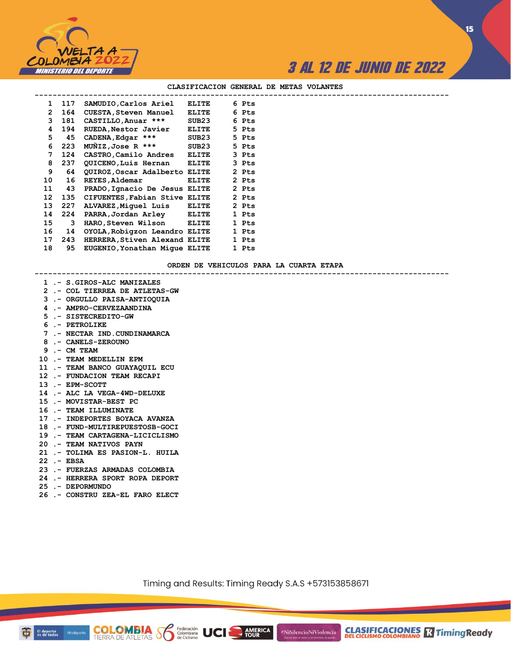

**15**

#### **CLASIFICACION GENERAL DE METAS VOLANTES**

| $\mathbf{1}$ | 117 | SAMUDIO, Carlos Ariel         | ELITE        | 6 Pts |  |
|--------------|-----|-------------------------------|--------------|-------|--|
| 2            | 164 | CUESTA, Steven Manuel         | ELITE        | 6 Pts |  |
| 3.           | 181 | CASTILLO, Anuar ***           | SUB23        | 6 Pts |  |
| 4            | 194 | RUEDA, Nestor Javier          | ELITE        | 5 Pts |  |
| 5            | 45  | CADENA, Edgar ***             | SUB23        | 5 Pts |  |
| 6            | 223 | $M\tilde{M}$ IZ,Jose R ***    | SUB23        | 5 Pts |  |
| 7            | 124 | CASTRO, Camilo Andres         | ELITE        | 3 Pts |  |
| 8            | 237 | QUICENO, Luis Hernan          | ELITE        | 3 Pts |  |
| 9            | 64  | QUIROZ, Oscar Adalberto ELITE |              | 2 Pts |  |
| 10           | 16  | REYES, Aldemar                | <b>ELITE</b> | 2 Pts |  |
| 11           | 43  | PRADO, Ignacio De Jesus ELITE |              | 2 Pts |  |
| 12           | 135 | CIFUENTES, Fabian Stive ELITE |              | 2 Pts |  |
| 13           | 227 | ALVAREZ, Miquel Luis          | ELITE        | 2 Pts |  |
| 14           | 224 | PARRA, Jordan Arley ELITE     |              | 1 Pts |  |
| 15           | 3   | HARO,Steven Wilson            | ELITE        | 1 Pts |  |
| 16           | 14  | OYOLA, Robigzon Leandro ELITE |              | 1 Pts |  |
| 17           | 243 | HERRERA, Stiven Alexand ELITE |              | 1 Pts |  |
| 18           | 95  | EUGENIO, Yonathan Mique ELITE |              | 1 Pts |  |
|              |     |                               |              |       |  |

#### **ORDEN DE VEHICULOS PARA LA CUARTA ETAPA**

**--------------------------------------------------------------------------------------------**

- **1 .- S.GIROS-ALC MANIZALES**
- **2 .- COL TIERREA DE ATLETAS-GW**
- **3 .- ORGULLO PAISA-ANTIOQUIA**
- **4 .- AMPRO-CERVEZAANDINA**
- **5 .- SISTECREDITO-GW**
- **6 .- PETROLIKE**
- 
- **7 .- NECTAR IND.CUNDINAMARCA**
- **8 .- CANELS-ZEROUNO**
- **9 .- CM TEAM**
- **10 .- TEAM MEDELLIN EPM**
- **11 .- TEAM BANCO GUAYAQUIL ECU**
- **12 .- FUNDACION TEAM RECAPI**
- **13 .- EPM-SCOTT**
- **14 .- ALC LA VEGA-4WD-DELUXE**
- **15 .- MOVISTAR-BEST PC**
- **16 .- TEAM ILLUMINATE**
- **17 .- INDEPORTES BOYACA AVANZA**
- **18 .- FUND-MULTIREPUESTOSB-GOCI**
- **19 .- TEAM CARTAGENA-LICICLISMO**
- **20 .- TEAM NATIVOS PAYN**
- **21 .- TOLIMA ES PASION-L. HUILA**
- **22 .- EBSA**
- **23 .- FUERZAS ARMADAS COLOMBIA**
- **24 .- HERRERA SPORT ROPA DEPORT**
- **25 .- DEPORMUNDO**
- **26 .- CONSTRU ZEA-EL FARO ELECT**

**COLOMBIA Solutions UCI** 

Timing and Results: Timing Ready S.A.S +573153858671

**AMERICA**<br>TOUR

#NiSilencioNiViolencia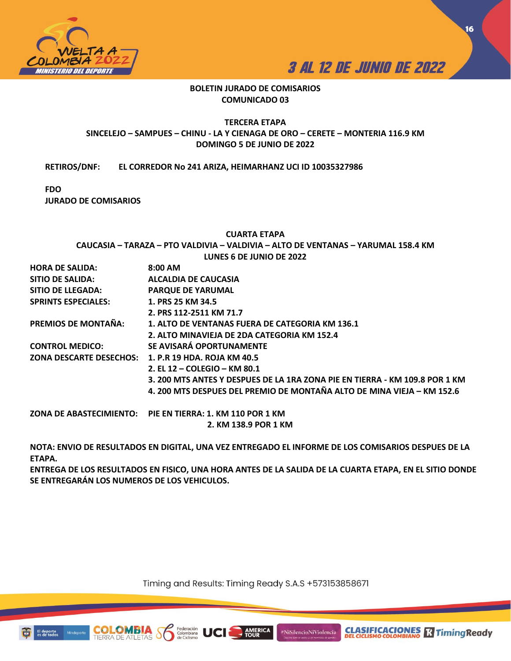



**16**

## **BOLETIN JURADO DE COMISARIOS COMUNICADO 03**

## **TERCERA ETAPA SINCELEJO – SAMPUES – CHINU - LA Y CIENAGA DE ORO – CERETE – MONTERIA 116.9 KM DOMINGO 5 DE JUNIO DE 2022**

**RETIROS/DNF: EL CORREDOR No 241 ARIZA, HEIMARHANZ UCI ID 10035327986** 

**FDO** 

**JURADO DE COMISARIOS**

## **CUARTA ETAPA**

**CAUCASIA – TARAZA – PTO VALDIVIA – VALDIVIA – ALTO DE VENTANAS – YARUMAL 158.4 KM LUNES 6 DE JUNIO DE 2022**

| <b>HORA DE SALIDA:</b>     | $8:00$ AM                                                                   |
|----------------------------|-----------------------------------------------------------------------------|
| <b>SITIO DE SALIDA:</b>    | ALCALDIA DE CAUCASIA                                                        |
| <b>SITIO DE LLEGADA:</b>   | <b>PARQUE DE YARUMAL</b>                                                    |
| <b>SPRINTS ESPECIALES:</b> | 1. PRS 25 KM 34.5                                                           |
|                            | 2. PRS 112-2511 KM 71.7                                                     |
| PREMIOS DE MONTAÑA:        | 1. ALTO DE VENTANAS FUERA DE CATEGORIA KM 136.1                             |
|                            | 2. ALTO MINAVIEJA DE 2DA CATEGORIA KM 152.4                                 |
| <b>CONTROL MEDICO:</b>     | SE AVISARÁ OPORTUNAMENTE                                                    |
|                            | ZONA DESCARTE DESECHOS:     1. P.R 19 HDA. ROJA KM 40.5                     |
|                            | 2. EL 12 – COLEGIO – KM 80.1                                                |
|                            | 3. 200 MTS ANTES Y DESPUES DE LA 1RA ZONA PIE EN TIERRA - KM 109.8 POR 1 KM |
|                            | 4. 200 MTS DESPUES DEL PREMIO DE MONTAÑA ALTO DE MINA VIEJA - KM 152.6      |
|                            | ZONA DE ABASTECIMIENTO:     PIE EN TIERRA: 1. KM 110 POR 1 KM               |
|                            | 2. KM 138.9 POR 1 KM                                                        |

**NOTA: ENVIO DE RESULTADOS EN DIGITAL, UNA VEZ ENTREGADO EL INFORME DE LOS COMISARIOS DESPUES DE LA ETAPA.** 

**ENTREGA DE LOS RESULTADOS EN FISICO, UNA HORA ANTES DE LA SALIDA DE LA CUARTA ETAPA, EN EL SITIO DONDE SE ENTREGARÁN LOS NUMEROS DE LOS VEHICULOS.** 

Timing and Results: Timing Ready S.A.S +573153858671

**AMERICA**<br>TOUR

#NiSilencioNiViolencia

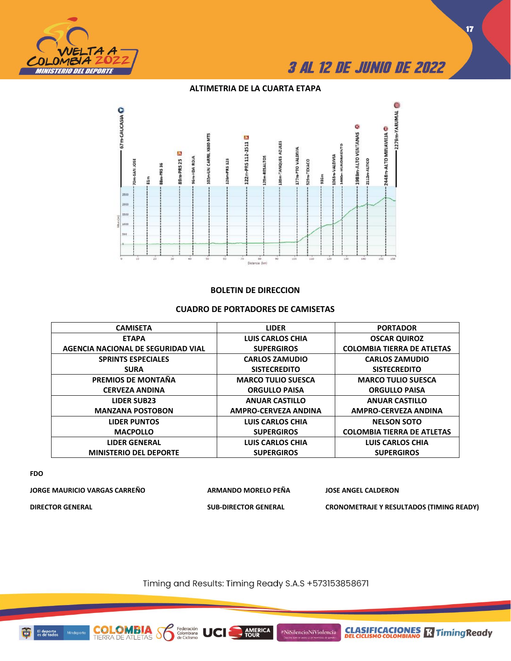

## **ALTIMETRIA DE LA CUARTA ETAPA**



## **BOLETIN DE DIRECCION**

## **CUADRO DE PORTADORES DE CAMISETAS**

| <b>CAMISETA</b>                    | <b>LIDER</b>                | <b>PORTADOR</b>                   |
|------------------------------------|-----------------------------|-----------------------------------|
| <b>ETAPA</b>                       | <b>LUIS CARLOS CHIA</b>     | <b>OSCAR QUIROZ</b>               |
| AGENCIA NACIONAL DE SEGURIDAD VIAL | <b>SUPERGIROS</b>           | <b>COLOMBIA TIERRA DE ATLETAS</b> |
| <b>SPRINTS ESPECIALES</b>          | <b>CARLOS ZAMUDIO</b>       | <b>CARLOS ZAMUDIO</b>             |
| <b>SURA</b>                        | <b>SISTECREDITO</b>         | <b>SISTECREDITO</b>               |
| PREMIOS DE MONTAÑA                 | <b>MARCO TULIO SUESCA</b>   | <b>MARCO TULIO SUESCA</b>         |
| <b>CERVEZA ANDINA</b>              | <b>ORGULLO PAISA</b>        | <b>ORGULLO PAISA</b>              |
| <b>LIDER SUB23</b>                 | <b>ANUAR CASTILLO</b>       | <b>ANUAR CASTILLO</b>             |
| <b>MANZANA POSTOBON</b>            | <b>AMPRO-CERVEZA ANDINA</b> | <b>AMPRO-CERVEZA ANDINA</b>       |
| <b>LIDER PUNTOS</b>                | <b>LUIS CARLOS CHIA</b>     | <b>NELSON SOTO</b>                |
| <b>MACPOLLO</b>                    | <b>SUPERGIROS</b>           | <b>COLOMBIA TIERRA DE ATLETAS</b> |
| <b>LIDER GENERAL</b>               | <b>LUIS CARLOS CHIA</b>     | <b>LUIS CARLOS CHIA</b>           |
| <b>MINISTERIO DEL DEPORTE</b>      | <b>SUPERGIROS</b>           | <b>SUPERGIROS</b>                 |

**FDO**

**JORGE MAURICIO VARGAS CARREÑO ARMANDO MORELO PEÑA JOSE ANGEL CALDERON DIRECTOR GENERAL SUB-DIRECTOR GENERAL CRONOMETRAJE Y RESULTADOS (TIMING READY)**

Timing and Results: Timing Ready S.A.S +573153858671

**AMERICA**<br>TOUR

#NiSilencioNiViolencia

**CLASIFICACIONES M**Timing Ready



**COLOMBIA**<br>TIERRA DE ATLETAS

Federación<br>Colombiana<br>de Ciclismo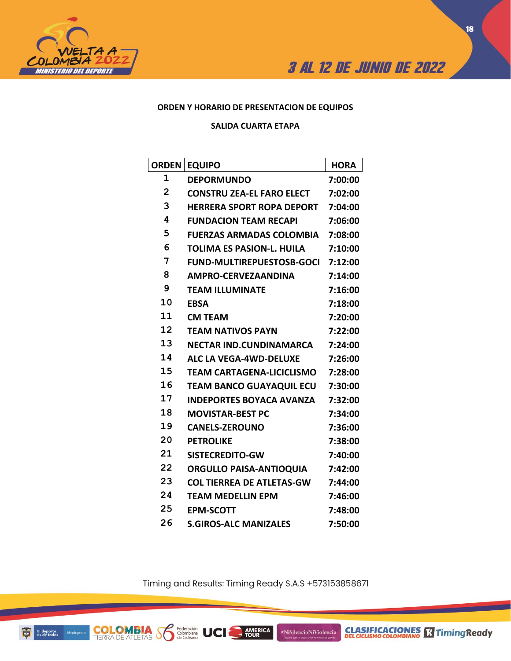



## **ORDEN Y HORARIO DE PRESENTACION DE EQUIPOS**

**SALIDA CUARTA ETAPA**

| <b>ORDEN</b>   | <b>EQUIPO</b>                    | <b>HORA</b> |
|----------------|----------------------------------|-------------|
| 1              | <b>DEPORMUNDO</b>                | 7:00:00     |
| $\overline{2}$ | <b>CONSTRU ZEA-EL FARO ELECT</b> | 7:02:00     |
| 3              | <b>HERRERA SPORT ROPA DEPORT</b> | 7:04:00     |
| 4              | <b>FUNDACION TEAM RECAPI</b>     | 7:06:00     |
| 5              | <b>FUERZAS ARMADAS COLOMBIA</b>  | 7:08:00     |
| 6              | <b>TOLIMA ES PASION-L. HUILA</b> | 7:10:00     |
| 7              | <b>FUND-MULTIREPUESTOSB-GOCI</b> | 7:12:00     |
| 8              | <b>AMPRO-CERVEZAANDINA</b>       | 7:14:00     |
| 9              | <b>TEAM ILLUMINATE</b>           | 7:16:00     |
| 10             | <b>EBSA</b>                      | 7:18:00     |
| 11             | <b>CM TEAM</b>                   | 7:20:00     |
| 12             | <b>TEAM NATIVOS PAYN</b>         | 7:22:00     |
| 13             | NECTAR IND.CUNDINAMARCA          | 7:24:00     |
| 14             | ALC LA VEGA-4WD-DELUXE           | 7:26:00     |
| 15             | TEAM CARTAGENA-LICICLISMO        | 7:28:00     |
| 16             | TEAM BANCO GUAYAQUIL ECU         | 7:30:00     |
| 17             | <b>INDEPORTES BOYACA AVANZA</b>  | 7:32:00     |
| 18             | <b>MOVISTAR-BEST PC</b>          | 7:34:00     |
| 19             | <b>CANELS-ZEROUNO</b>            | 7:36:00     |
| 20             | <b>PETROLIKE</b>                 | 7:38:00     |
| 21             | <b>SISTECREDITO-GW</b>           | 7:40:00     |
| 22             | <b>ORGULLO PAISA-ANTIOQUIA</b>   | 7:42:00     |
| 23             | <b>COL TIERREA DE ATLETAS-GW</b> | 7:44:00     |
| 24             | <b>TEAM MEDELLIN EPM</b>         | 7:46:00     |
| 25             | <b>EPM-SCOTT</b>                 | 7:48:00     |
| 26             | <b>S.GIROS-ALC MANIZALES</b>     | 7:50:00     |

Timing and Results: Timing Ready S.A.S +573153858671

AMERICA

#NiSilencioNiViolencia

Federación<br>Colombiana<br>de Ciclismo

**UCI** 

**COLOMBIA S**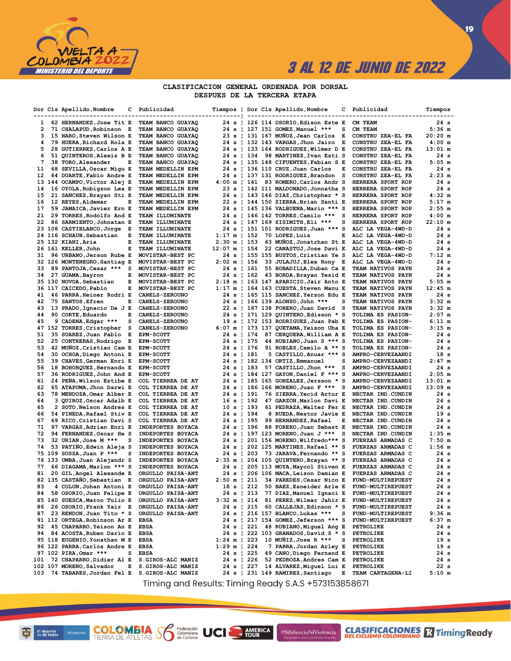

 $\overline{19}$ 

### CLASIFICACION GENERAL ORDENADA POR DORSAL DESPUES DE LA TERCERA ETAPA

|              |    | Dor Cls Apellido, Nombre                                | с | Publicidad                             |                         |        |                          | Tiempos   Dor Cls Apellido,Nombre                                             | с | Publicidad                                    | Tiempos              |
|--------------|----|---------------------------------------------------------|---|----------------------------------------|-------------------------|--------|--------------------------|-------------------------------------------------------------------------------|---|-----------------------------------------------|----------------------|
| $\mathbf{1}$ |    | 62 HERNANDEZ, Jose Tit E                                |   | TEAM BANCO GUAYAQ                      |                         |        |                          | 24 s   126 114 OSORIO, Edison Este E                                          |   | CM TEAM                                       | 24 s                 |
| 2            |    | 71 CHALAPUD, Robinson E                                 |   | TEAM BANCO GUAYAQ                      |                         |        |                          | 24 s   127 151 GOMEZ, Manuel ***                                              | s | CM TEAM                                       | $5:36$ m             |
| 3            |    | 15 HARO, Steven Wilson E                                |   | TEAM BANCO GUAYAQ                      |                         |        |                          | 23 s   131 167 MUÑOZ, Jean Carlos                                             | Е | CONSTRU ZEA-EL FA                             | $20:20$ m            |
| 4            |    | 79 HUERA, Richard Rola E                                |   | TEAM BANCO GUAYAQ                      |                         |        |                          | 24 s   132 143 VARGAS, Jhon Jairo                                             | Е | CONSTRU ZEA-EL FA                             | $4:00$ m             |
| 5            | 28 | <b>GUTIERREZ, Carlos A E</b>                            |   | TEAM BANCO GUAYAQ                      |                         |        |                          | 24 s   133 164 RODRIGUEZ, Wilmer D E                                          |   | CONSTRU ZEA-EL FA                             | $13:01 \text{ m}$    |
| 6            |    | 51 QUINTEROS, Alexis B E                                |   | TEAM BANCO GUAYAQ                      |                         |        | 24 s   134               | 98 MARTINEZ, Ivan Esti S                                                      |   | CONSTRU ZEA-EL FA                             | 24 s                 |
| 7            |    | 38 TORO, Alexander                                      | Е | TEAM BANCO GUAYAQ                      |                         |        |                          | 24 s   135 148 CIFUENTES, Fabian S E                                          |   | CONSTRU ZEA-EL FA                             | $5:05$ m             |
| 11           |    | 68 SEVILLA, Oscar Migu E                                |   | TEAM MEDELLIN EPM                      |                         |        |                          | 24 s   136 110 CRUZ, Juan Carlos                                              | Е | CONSTRU ZEA-EL FA                             | 24 s                 |
| 12           |    | 64 DUARTE, Fabio Andre E                                |   | TEAM MEDELLIN EPM                      |                         |        |                          | 24 s   137 131 RODRIGUEZ, Brandon                                             | s | CONSTRU ZEA-EL FA                             | $2:23$ m             |
| 13           |    | 144 OCAMPO, Victor Alej E                               |   | <b>TEAM MEDELLIN EPM</b>               | 4:00 m   141            |        |                          | 83 ROMERO, Carlos Andr S                                                      |   | HERRERA SPORT ROP                             | 24s                  |
| 14           |    | 16 OYOLA, Robigzon Lea E                                |   | TEAM MEDELLIN EPM                      |                         |        |                          | 23 s   142 111 MALDONADO, Jonnatha S                                          |   | HERRERA SPORT ROP                             | 24 s                 |
| 15           |    | 21 SANCHEZ, Brayan Sti E                                |   | TEAM MEDELLIN EPM                      |                         |        |                          | 24 s   143 146 DIAZ, Christopher * S                                          |   | HERRERA SPORT ROP                             | $4:32 \; m$          |
| 16           |    | 12 REYES, Aldemar                                       | Е | <b>TEAM MEDELLIN EPM</b>               |                         |        |                          | 22 s   144 150 SIERRA, Brian Santi E                                          |   | HERRERA SPORT ROP                             | $5:17$ m<br>$2:55$ m |
| 17<br>21     |    | 59 JAMAICA, Javier Ern E<br>29 TORRES, Rodolfo And E    |   | TEAM MEDELLIN EPM<br>TEAM ILLUMINATE   |                         |        |                          | 24 s   145 136 VALBUENA, Mario *** S<br>24 s   146 142 TORRES, Camilo ***     | s | <b>HERRERA SPORT ROP</b><br>HERRERA SPORT ROP | $4:00$ m             |
| 22           |    | 86 SARMIENTO, Johnatan E                                |   | TEAM ILLUMINATE                        |                         |        |                          | 24 s   147 169 SISIMITH, Eli ***                                              | s | HERRERA SPORT ROP                             | $22:10 \t{m}$        |
|              |    | 23 108 CASTIBLANCO, Jorge E                             |   | TEAM ILLUMINATE                        |                         |        |                          | 24 s   151 101 RODRIGUEZ, Juan *** S                                          |   | ALC LA VEGA-4WD-D                             | 24 s                 |
| 24           |    | 116 SCHAUB, Sebastian                                   | Е | TEAM ILLUMINATE                        | $1:17 \text{ m}$   152  |        |                          | 70 LOPEZ, Luis                                                                | Е | ALC LA VEGA-4WD-D                             | 24 s                 |
|              |    | 25 132 KIANI, Aria                                      | Е | TEAM ILLUMINATE                        | $2:30 \text{ m}$   153  |        |                          | 63 MUNOZ, Jonatrhan St E                                                      |   | ALC LA VEGA-4WD-D                             | 24 s                 |
|              |    | 26 161 KELLER, John                                     | Е | TEAM ILLUMINATE                        | $12:07 \text{ m}$   154 |        |                          | 22 CANASTUJ, Jose Davi E                                                      |   | ALC LA VEGA-4WD-D                             | 24 s                 |
| 31           |    | 96 URBANO, Jerson Rube E                                |   | MOVISTAR-BEST PC                       |                         |        |                          | 24 s   155 155 BUSTOS, Cristian Ye S                                          |   | ALC LA VEGA-4WD-D                             | $7:12 \text{ m}$     |
|              |    | 32 126 MONTENEGRO, Santiag E                            |   | MOVISTAR-BEST PC                       | $2:02 \text{ m}$   156  |        |                          | 33 JULAJUJ, Elex Rony E                                                       |   | ALC LA VEGA-4WD-D                             | 24 s                 |
| 33           |    | 89 PANTOJA, Cesar ***                                   | s | MOVISTAR-BEST PC                       |                         |        | $24 s + 161$             | 55 BOBADILLA, Duban Ca E                                                      |   | <b>TEAM NATIVOS PAYN</b>                      | 24 s                 |
| 34           |    | 27 GUAMA, Bayron                                        | Е | MOVISTAR-BEST PC                       |                         |        | $24 s$ 162               | 43 BORDA, Brayan Yesid E                                                      |   | <b>TEAM NATIVOS PAYN</b>                      | 24 s                 |
|              |    | 35 130 NOVOA, Sebastian                                 | Е | MOVISTAR-BEST PC                       |                         |        |                          | 2:18 m   163 147 APARICIO, Jair Anto E                                        |   | <b>TEAM NATIVOS PAYN</b>                      | $5:05$ m             |
|              |    | 36 117 CAICEDO, Pablo                                   | Е | MOVISTAR-BEST PC                       |                         |        |                          | 1:17 m   164 163 CUESTA, Steven Manu E                                        |   | <b>TEAM NATIVOS PAYN</b>                      | $12:45$ m            |
| 41           |    | 46 PARRA, Heiner Rodri E                                |   | <b>CANELS-ZEROUNO</b>                  |                         |        |                          | 24 s   165 115 SANCHEZ, Yerzon Edu E                                          |   | <b>TEAM NATIVOS PAYN</b>                      | 24s                  |
| 42           |    | 75 SANTOS, Efren                                        | Е | <b>CANELS-ZEROUNO</b>                  |                         |        |                          | 24 s   166 139 ALONSO, John ***                                               | s | TEAM NATIVOS PAYN                             | $3:32 \; m$          |
| 43           |    | 13 PRADO, Ignacio De J E                                |   | <b>CANELS-ZEROUNO</b>                  |                         |        |                          | 22 s   167 138 FORERO, Juan David                                             | s | TEAM NATIVOS PAYN                             | $3:32 \; m$          |
| 44           |    | 90 CORTE, Eduardo                                       | Е | CANELS-ZEROUNO                         |                         |        |                          | 24 s   171 129 QUINTERO, Edisson * S                                          |   | TOLIMA ES PASION-                             | $2:07$ m             |
| 45           |    | 9 CADENA, Edgar ***                                     | s | <b>CANELS-ZEROUNO</b>                  |                         |        |                          | 19 s   172 153 RODRIGUEZ, Juan Pab E                                          |   | <b>TOLIMA ES PASION-</b>                      | $6:11 \; m$          |
|              |    | 47 152 TORRES, Cristopher                               | s | <b>CANELS-ZEROUNO</b>                  |                         |        |                          | 6:07 m   173 137 QUETAMA, Yeison Uba E                                        |   | <b>TOLIMA ES PASION-</b>                      | $3:15$ m             |
| 51           |    | 35 SUAREZ, Juan Pablo E                                 |   | EPM-SCOTT                              |                         |        | 24 s   174<br>24 s   175 | 87 CERQUERA, William A E                                                      |   | <b>TOLIMA ES PASION-</b>                      | 24 s<br>24 s         |
| 52<br>53     |    | 25 CONTRERAS, Rodrigo<br>42 MUNOZ, Cristian Cam E       | Е | <b>EPM-SCOTT</b>                       |                         |        | 24 s   176               | 44 RUBIANO, Juan S *** S                                                      |   | TOLIMA ES PASION-                             | 24 s                 |
| 54           |    | 30 OCHOA, Diego Antoni E                                |   | <b>EPM-SCOTT</b><br><b>EPM-SCOTT</b>   |                         |        | 24 s   181               | 91 ROBLES, Camilo A ** S<br>5 CASTILLO, Anuar *** S                           |   | <b>TOLIMA ES PASION-</b><br>AMPRO-CERVEZAANDI | 18 <sub>s</sub>      |
| 55           |    | 39 CHAVES, German Enri E                                |   | <b>EPM-SCOTT</b>                       |                         |        |                          | 24 s   182 134 ORTIZ, Emmanuel                                                | s | <b>AMPRO-CERVEZAANDI</b>                      | $2:47$ m             |
| 56           |    | 18 BOHORQUEZ, Hernando E                                |   | <b>EPM-SCOTT</b>                       |                         |        | $24 s$   183             | 57 CASTILLO, Jhon ***                                                         | s | AMPRO-CERVEZAANDI                             | 24 s                 |
| 57           |    | 36 RODRIGUEZ, John And E                                |   | <b>EPM-SCOTT</b>                       |                         |        |                          | 24 s   184 127 GAYON, Daniel F *** S                                          |   | AMPRO-CERVEZAANDI                             | $2:05$ m             |
| 61           |    | 24 PEÑA, Wilson Estibe E                                |   | COL TIERREA DE AT                      |                         |        |                          | 24 s   185 165 GONZALEZ, Jersson * S                                          |   | AMPRO-CERVEZAANDI                             | $13:01$ m            |
| 62           |    | 65 ATAPUMA, Jhon Darwi E                                |   | COL TIERREA DE AT                      |                         |        |                          | 24 s   186 166 MORENO, Juan F *** S                                           |   | AMPRO-CERVEZAANDI                             | $13:09$ m            |
| 63           |    | 78 MENDOZA, Omar Alber E                                |   | COL TIERREA DE AT                      |                         |        | 24 s   191               | 76 SIERRA, Yecid Artur E                                                      |   | <b>NECTAR IND.CUNDIN</b>                      | 24 s                 |
| 64           |    | 3 QUIROZ, Oscar Adalb E                                 |   | COL TIERREA DE AT                      |                         |        | 16 s   192               | 47 GARZON, Marlon Davi E                                                      |   | NECTAR IND.CUNDIN                             | 24 s                 |
| 65           |    | 2 SOTO, Nelson Andres E                                 |   | COL TIERREA DE AT                      |                         |        | 10 s   193               | 61 PEDRAZA, Walter Fer E                                                      |   | NECTAR IND.CUNDIN                             | 24 s                 |
| 66           |    | 54 PINEDA, Rafael Stiv E                                |   | COL TIERREA DE AT                      |                         |        | 24 s   194               | 8 RUEDA,Nestor Javie E                                                        |   | NECTAR IND.CUNDIN                             | 19 <sub>s</sub>      |
| 67           |    | 69 RICO, Cristian Davi S                                |   | COL TIERREA DE AT                      |                         |        | 24 s   195               | 99 HERNANDEZ, Rafael                                                          | Е | NECTAR IND. CUNDIN                            | 24 s                 |
| 71           |    | 97 VARGAS, Adrian Enri E                                |   | INDEPORTES BOYACA                      |                         |        | 24 s   196               | 88 FORERO, Juan Sebast E                                                      |   | NECTAR IND. CUNDIN                            | 24 s                 |
| 72           |    | 94 FERNANDEZ, Oscar He S                                |   | INDEPORTES BOYACA                      |                         |        |                          | 24 s   197 123 MORENO, Juan J ***                                             | s | NECTAR IND.CUNDIN                             | 1:35 m               |
| 73           |    | 32 URIAN, Jose M ***                                    | s | INDEPORTES BOYACA                      |                         | 24 s ¦ |                          | 201 156 MORENO, Wilfredo*** S                                                 |   | <b>FUERZAS ARMADAS C</b>                      | $7:50$ m             |
| 74           |    | 53 PATIÑO, Edwin Aleja S                                |   | INDEPORTES BOYACA                      |                         |        |                          | 24 s   202 125 MARTINEZ, Rafael ** S                                          |   | <b>FUERZAS ARMADAS C</b>                      | $1:56$ m             |
|              |    | 75 109 SOSSA, Juan P ***                                | s | INDEPORTES BOYACA                      |                         |        | $24 s$   203             | 73 JARAVA, Fernando ** S                                                      |   | FUERZAS ARMADAS C                             | 24s                  |
|              |    | 76 133 UMBA, Juan Alejandr S                            |   | INDEPORTES BOYACA                      | $2:35$ m $\pm$          |        |                          | 204 105 QUINTERO, Brayan ** S                                                 |   | <b>FUERZAS ARMADAS C</b>                      | 24 s                 |
| 77           |    | 66 DIAGAMA, Marlon *** S                                |   | INDEPORTES BOYACA<br>ORGULLO PAISA-ANT |                         |        |                          | 24 s   205 113 MOYA, Maycol Stiven E                                          |   | FUERZAS ARMADAS C                             | 24 s                 |
| 81           |    | 20 GIL, Angel Alexande E<br>82 135 CASTAÑO, Sebastian E |   | ORGULLO PAISA-ANT                      |                         |        |                          | 24 s   206 106 MACA, Leison Damian E<br>2:50 m   211 34 PAREDES, Cesar Nico E |   | FUERZAS ARMADAS C<br>FUND-MULTIREPUEST        | 24 s<br>24 s         |
| 83           |    | 4 COLON, Johan Antoni E                                 |   | ORGULLO PAISA-ANT                      |                         |        | 18 s   212               | 50 BAEZ, Esneider Arle E                                                      |   | FUND-MULTIREPUEST                             | 24 s                 |
| 84           |    | 58 OSORIO, Juan Felipe E                                |   | ORGULLO PAISA-ANT                      |                         |        | 24 s   213               | 77 DIAZ, Manuel Ignaci E                                                      |   | FUND-MULTIREPUEST                             | 24 s                 |
|              |    | 85 140 SUESCA, Marco Tulio E                            |   | ORGULLO PAISA-ANT                      | $3:32 \text{ m}$   214  |        |                          | 81 PEREZ, Wilmar Jahir E                                                      |   | <b>FUND-MULTIREPUEST</b>                      | 24 s                 |
| 86           |    | 26 OSORIO, Frank Yair E                                 |   | ORGULLO PAISA-ANT                      |                         |        | 24 s   215               | 60 CALLEJAS, Edinson * S                                                      |   | <b>FUND-MULTIREPUEST</b>                      | 24 s                 |
| 87           |    | 23 RENDON, Juan Tito * S                                |   | ORGULLO PAISA-ANT                      |                         |        |                          | 24 s   216 157 BLANCO, Lukas ***                                              | s | FUND-MULTIREPUEST                             | $9:36$ m             |
|              |    | 91 112 ORTEGA, Robinson Ar E                            |   | <b>EBSA</b>                            |                         |        |                          | 24 s   217 154 GOMEZ, Jeferson *** S                                          |   | <b>FUND-MULTIREPUEST</b>                      | 6:37 m               |
| 92           |    | 45 CHAPARRO, Yeison An E                                |   | <b>EBSA</b>                            |                         |        | $24 s$   221             | 48 RUBIANO, Miguel Ang E                                                      |   | <b>PETROLIKE</b>                              | 24 s                 |
| 94           |    | 84 ACOSTA, Ruben Dario E                                |   | <b>EBSA</b>                            |                         |        |                          | 24 s   222 103 GRANADOS, David S * S                                          |   | PETROLIKE                                     | 24 s                 |
|              |    | 95 118 EUGENIO, Yonathan M E                            |   | <b>EBSA</b>                            | $1:24 \text{ m}$   223  |        |                          | 10 MUÑIZ, Jose R ***                                                          | s | <b>PETROLIKE</b>                              | 19 <sub>s</sub>      |
|              |    | 96 122 PARRA, Carlos Andre E                            |   | <b>EBSA</b>                            | $1:29$ m   224          |        |                          | 7 PARRA, Jordan Arley E                                                       |   | <b>PETROLIKE</b>                              | 19 <sub>s</sub>      |
|              |    | 97 102 PIRA, Omar ***                                   | s | <b>EBSA</b>                            |                         |        | $24 s$   225             | 49 CANO, Diego Fernand E                                                      |   | <b>PETROLIKE</b>                              | 24 s                 |
| 101          |    | 72 CHAPARRO, Didier Al E                                |   | S.GIROS-ALC MANIZ                      |                         |        | 24 s   226               | 52 PEDROZA, Andres Cam E                                                      |   | PETROLIKE                                     | 24 s                 |
|              |    | 102 107 MORENO, Salvador                                | Е | S.GIROS-ALC MANIZ                      |                         |        | 24 s   227               | 14 ALVAREZ, Miguel Lui E                                                      |   | <b>PETROLIKE</b>                              | 22s                  |
|              |    | 103 74 TABARES, Jordan Fel E                            |   | S.GIROS-ALC MANIZ                      |                         |        |                          | 24 s   231 149 RAMIREZ, Santiago                                              | Е | <b>TEAM CARTAGENA-LI</b>                      | 5:10 m               |

Timing and Results: Timing Ready S.A.S +573153858671

AMERICA

**UCI** 

#NiSilencioNiViolencia

ū El deporte<br>es de todos

**COLOMBIA**<br>TIERRA DE ATLETAS **S** de Ciclismo